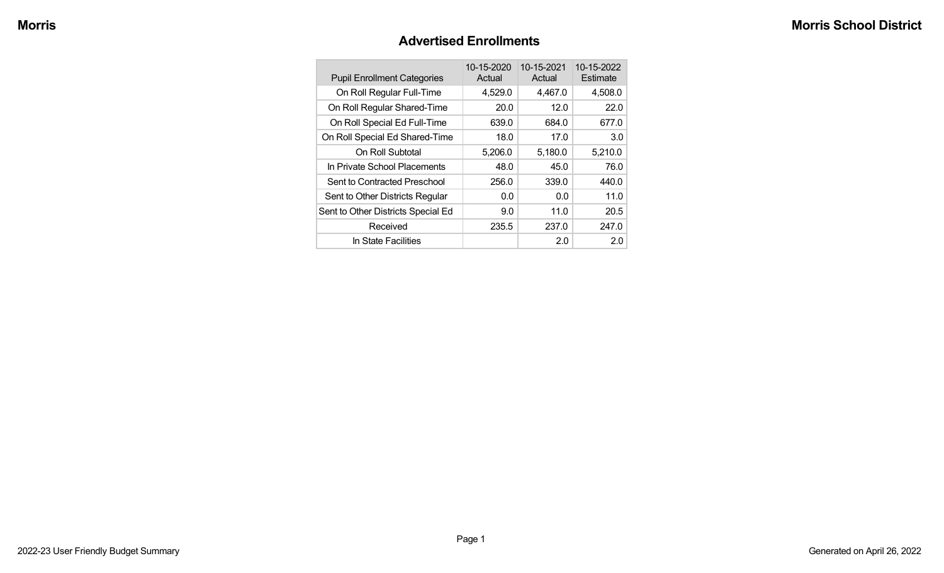#### **Advertised Enrollments**

| <b>Pupil Enrollment Categories</b> | 10-15-2020<br>Actual | 10-15-2021<br>Actual | 10-15-2022<br>Estimate |
|------------------------------------|----------------------|----------------------|------------------------|
| On Roll Regular Full-Time          | 4,529.0              | 4,467.0              | 4,508.0                |
| On Roll Regular Shared-Time        | 20.0                 | 12.0                 | 22.0                   |
| On Roll Special Ed Full-Time       | 639.0                | 684.0                | 677.0                  |
| On Roll Special Ed Shared-Time     | 18.0                 | 17.0                 | 3.0                    |
| On Roll Subtotal                   | 5,206.0              | 5,180.0              | 5,210.0                |
| In Private School Placements       | 48.0                 | 45.0                 | 76.0                   |
| Sent to Contracted Preschool       | 256.0                | 339.0                | 440.0                  |
| Sent to Other Districts Regular    | 0.0                  | 0.0                  | 11.0                   |
| Sent to Other Districts Special Ed | 9.0                  | 11.0                 | 20.5                   |
| Received                           | 235.5                | 237.0                | 247.0                  |
| In State Facilities                |                      | 2.0                  | 2.0                    |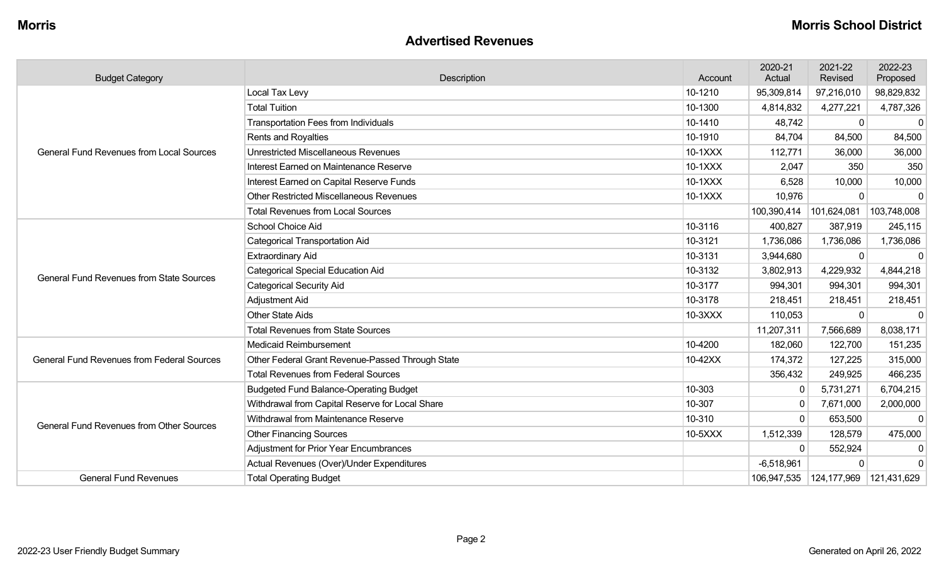#### **Advertised Revenues**

| <b>Budget Category</b>                            | Description                                      | Account | 2020-21<br>Actual         | 2021-22<br>Revised | 2022-23<br>Proposed |
|---------------------------------------------------|--------------------------------------------------|---------|---------------------------|--------------------|---------------------|
|                                                   | Local Tax Levy                                   | 10-1210 | 95,309,814                | 97,216,010         | 98,829,832          |
|                                                   | <b>Total Tuition</b>                             | 10-1300 | 4,814,832                 | 4,277,221          | 4,787,326           |
|                                                   | <b>Transportation Fees from Individuals</b>      | 10-1410 | 48,742                    | $\mathbf 0$        | $\Omega$            |
|                                                   | Rents and Royalties                              | 10-1910 | 84,704                    | 84,500             | 84,500              |
| <b>General Fund Revenues from Local Sources</b>   | <b>Unrestricted Miscellaneous Revenues</b>       | 10-1XXX | 112,771                   | 36,000             | 36,000              |
|                                                   | Interest Earned on Maintenance Reserve           | 10-1XXX | 2,047                     | 350                | 350                 |
|                                                   | Interest Earned on Capital Reserve Funds         | 10-1XXX | 6,528                     | 10,000             | 10,000              |
|                                                   | <b>Other Restricted Miscellaneous Revenues</b>   | 10-1XXX | 10,976                    | $\Omega$           | $\mathbf{0}$        |
|                                                   | <b>Total Revenues from Local Sources</b>         |         | 100,390,414               | 101,624,081        | 103,748,008         |
|                                                   | School Choice Aid                                | 10-3116 | 400,827                   | 387,919            | 245,115             |
|                                                   | <b>Categorical Transportation Aid</b>            | 10-3121 | 1,736,086                 | 1,736,086          | 1,736,086           |
|                                                   | <b>Extraordinary Aid</b>                         | 10-3131 | 3,944,680                 | $\mathbf{0}$       | $\mathbf 0$         |
| <b>General Fund Revenues from State Sources</b>   | <b>Categorical Special Education Aid</b>         | 10-3132 | 3,802,913                 | 4,229,932          | 4,844,218           |
|                                                   | <b>Categorical Security Aid</b>                  | 10-3177 | 994,301                   | 994,301            | 994,301             |
|                                                   | Adjustment Aid                                   | 10-3178 | 218,451                   | 218,451            | 218,451             |
|                                                   | <b>Other State Aids</b>                          | 10-3XXX | 110,053                   | $\Omega$           | <sup>0</sup>        |
|                                                   | <b>Total Revenues from State Sources</b>         |         | 11,207,311                | 7,566,689          | 8,038,171           |
|                                                   | <b>Medicaid Reimbursement</b>                    | 10-4200 | 182,060                   | 122,700            | 151,235             |
| <b>General Fund Revenues from Federal Sources</b> | Other Federal Grant Revenue-Passed Through State | 10-42XX | 174,372                   | 127,225            | 315,000             |
|                                                   | <b>Total Revenues from Federal Sources</b>       |         | 356,432                   | 249,925            | 466,235             |
|                                                   | <b>Budgeted Fund Balance-Operating Budget</b>    | 10-303  | $\mathbf 0$               | 5,731,271          | 6,704,215           |
|                                                   | Withdrawal from Capital Reserve for Local Share  | 10-307  | 0                         | 7,671,000          | 2,000,000           |
| <b>General Fund Revenues from Other Sources</b>   | Withdrawal from Maintenance Reserve              | 10-310  | $\Omega$                  | 653,500            | 0                   |
|                                                   | <b>Other Financing Sources</b>                   | 10-5XXX | 1,512,339                 | 128,579            | 475,000             |
|                                                   | <b>Adjustment for Prior Year Encumbrances</b>    |         | 0                         | 552,924            | 0                   |
|                                                   | Actual Revenues (Over)/Under Expenditures        |         | $-6,518,961$              | 0                  | $\mathbf{0}$        |
| <b>General Fund Revenues</b>                      | <b>Total Operating Budget</b>                    |         | 106,947,535   124,177,969 |                    | 121,431,629         |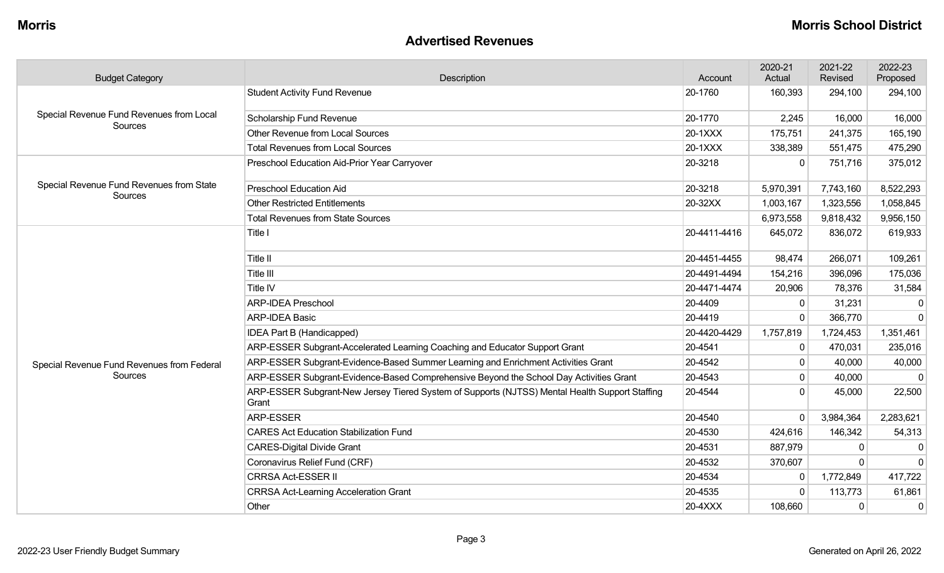#### **Advertised Revenues**

| <b>Budget Category</b>                              | Description                                                                                             | Account      | 2020-21<br>Actual | 2021-22<br>Revised | 2022-23<br>Proposed |
|-----------------------------------------------------|---------------------------------------------------------------------------------------------------------|--------------|-------------------|--------------------|---------------------|
|                                                     | <b>Student Activity Fund Revenue</b>                                                                    | 20-1760      | 160,393           | 294,100            | 294,100             |
| Special Revenue Fund Revenues from Local<br>Sources | Scholarship Fund Revenue                                                                                | 20-1770      | 2,245             | 16,000             | 16,000              |
|                                                     | Other Revenue from Local Sources                                                                        | 20-1XXX      | 175,751           | 241,375            | 165,190             |
|                                                     | <b>Total Revenues from Local Sources</b>                                                                | 20-1XXX      | 338,389           | 551,475            | 475,290             |
|                                                     | Preschool Education Aid-Prior Year Carryover                                                            | 20-3218      | $\mathbf{0}$      | 751,716            | 375,012             |
| Special Revenue Fund Revenues from State<br>Sources | <b>Preschool Education Aid</b>                                                                          | 20-3218      | 5,970,391         | 7,743,160          | 8,522,293           |
|                                                     | <b>Other Restricted Entitlements</b>                                                                    | 20-32XX      | 1,003,167         | 1,323,556          | 1,058,845           |
|                                                     | <b>Total Revenues from State Sources</b>                                                                |              | 6,973,558         | 9,818,432          | 9,956,150           |
|                                                     | Title I                                                                                                 | 20-4411-4416 | 645,072           | 836,072            | 619,933             |
|                                                     | <b>Title II</b>                                                                                         | 20-4451-4455 | 98,474            | 266,071            | 109,261             |
|                                                     | Title III                                                                                               | 20-4491-4494 | 154,216           | 396,096            | 175,036             |
|                                                     | <b>Title IV</b>                                                                                         | 20-4471-4474 | 20,906            | 78,376             | 31,584              |
|                                                     | <b>ARP-IDEA Preschool</b>                                                                               | 20-4409      | 0                 | 31,231             | 0                   |
|                                                     | <b>ARP-IDEA Basic</b>                                                                                   | 20-4419      | $\mathbf 0$       | 366,770            | $\mathbf 0$         |
|                                                     | IDEA Part B (Handicapped)                                                                               | 20-4420-4429 | 1,757,819         | 1,724,453          | 1,351,461           |
|                                                     | ARP-ESSER Subgrant-Accelerated Learning Coaching and Educator Support Grant                             | 20-4541      | 0                 | 470,031            | 235,016             |
| Special Revenue Fund Revenues from Federal          | ARP-ESSER Subgrant-Evidence-Based Summer Learning and Enrichment Activities Grant                       | 20-4542      | $\mathbf 0$       | 40,000             | 40,000              |
| Sources                                             | ARP-ESSER Subgrant-Evidence-Based Comprehensive Beyond the School Day Activities Grant                  | 20-4543      | $\mathbf 0$       | 40,000             | $\mathbf 0$         |
|                                                     | ARP-ESSER Subgrant-New Jersey Tiered System of Supports (NJTSS) Mental Health Support Staffing<br>Grant | 20-4544      | $\mathbf 0$       | 45,000             | 22,500              |
|                                                     | <b>ARP-ESSER</b>                                                                                        | 20-4540      | $\Omega$          | 3,984,364          | 2,283,621           |
|                                                     | <b>CARES Act Education Stabilization Fund</b>                                                           | 20-4530      | 424,616           | 146,342            | 54,313              |
|                                                     | <b>CARES-Digital Divide Grant</b>                                                                       | 20-4531      | 887,979           | $\mathbf{0}$       | $\mathbf 0$         |
|                                                     | Coronavirus Relief Fund (CRF)                                                                           | 20-4532      | 370,607           | $\Omega$           | $\mathbf 0$         |
|                                                     | <b>CRRSA Act-ESSER II</b>                                                                               | 20-4534      | $\mathbf 0$       | 1,772,849          | 417,722             |
|                                                     | <b>CRRSA Act-Learning Acceleration Grant</b>                                                            | 20-4535      | $\mathbf 0$       | 113,773            | 61,861              |
|                                                     | Other                                                                                                   | 20-4XXX      | 108,660           | $\mathbf 0$        | $\mathbf 0$         |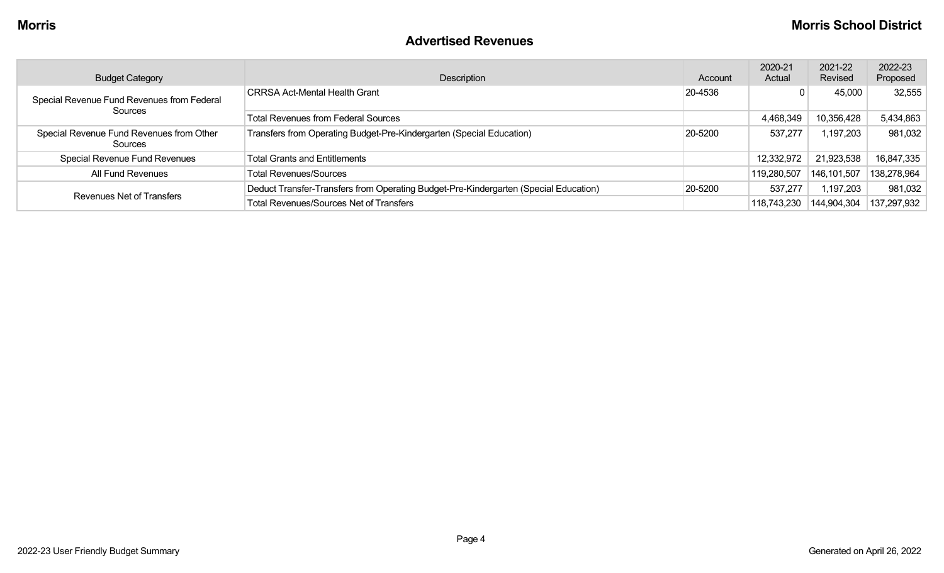#### **Advertised Revenues**

| <b>Budget Category</b>                              | Description                                                                          | Account | 2020-21<br>Actual | 2021-22<br>Revised | 2022-23<br>Proposed |
|-----------------------------------------------------|--------------------------------------------------------------------------------------|---------|-------------------|--------------------|---------------------|
| Special Revenue Fund Revenues from Federal          | <b>CRRSA Act-Mental Health Grant</b>                                                 | 20-4536 |                   | 45,000             | 32,555              |
| Sources                                             | <b>Total Revenues from Federal Sources</b>                                           |         | 4,468,349         | 10,356,428         | 5,434,863           |
| Special Revenue Fund Revenues from Other<br>Sources | Transfers from Operating Budget-Pre-Kindergarten (Special Education)                 | 20-5200 | 537,277           | 1,197,203          | 981,032             |
| Special Revenue Fund Revenues                       | <b>Total Grants and Entitlements</b>                                                 |         | 12,332,972        | 21,923,538         | 16,847,335          |
| All Fund Revenues                                   | <b>Total Revenues/Sources</b>                                                        |         | 119,280,507       | 146, 101, 507      | 138,278,964         |
|                                                     | Deduct Transfer-Transfers from Operating Budget-Pre-Kindergarten (Special Education) | 20-5200 | 537,277           | 1,197,203          | 981,032             |
| Revenues Net of Transfers                           | <b>Total Revenues/Sources Net of Transfers</b>                                       |         | 118,743,230       | 144,904,304        | 137,297,932         |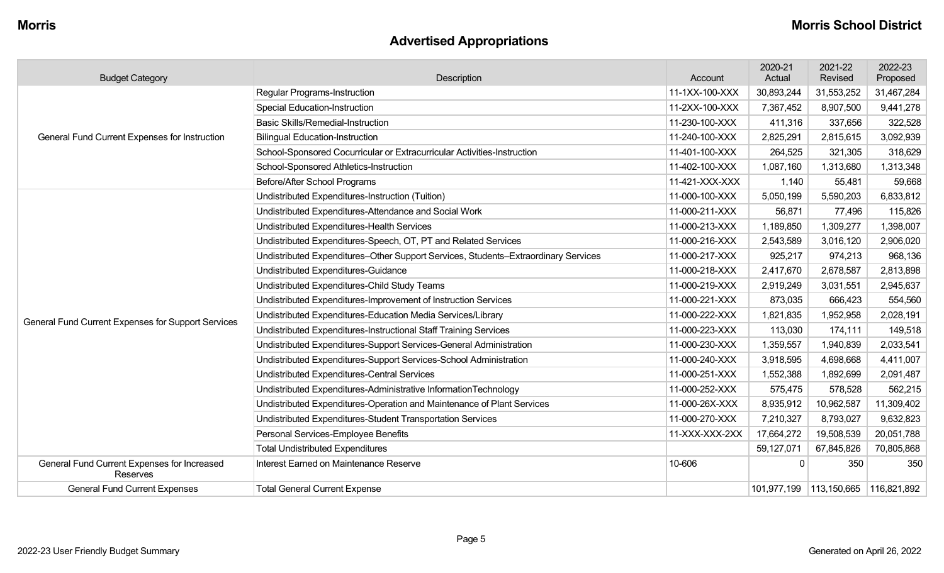# **Advertised Appropriations**

| <b>Budget Category</b>                                  | Description                                                                        | Account        | 2020-21<br>Actual | 2021-22<br>Revised | 2022-23<br>Proposed |
|---------------------------------------------------------|------------------------------------------------------------------------------------|----------------|-------------------|--------------------|---------------------|
|                                                         | <b>Regular Programs-Instruction</b>                                                | 11-1XX-100-XXX | 30,893,244        | 31,553,252         | 31,467,284          |
|                                                         | <b>Special Education-Instruction</b>                                               | 11-2XX-100-XXX | 7,367,452         | 8,907,500          | 9,441,278           |
|                                                         | <b>Basic Skills/Remedial-Instruction</b>                                           | 11-230-100-XXX | 411,316           | 337,656            | 322,528             |
| <b>General Fund Current Expenses for Instruction</b>    | <b>Bilingual Education-Instruction</b>                                             | 11-240-100-XXX | 2,825,291         | 2,815,615          | 3,092,939           |
|                                                         | School-Sponsored Cocurricular or Extracurricular Activities-Instruction            | 11-401-100-XXX | 264,525           | 321,305            | 318,629             |
|                                                         | School-Sponsored Athletics-Instruction                                             | 11-402-100-XXX | 1,087,160         | 1,313,680          | 1,313,348           |
|                                                         | Before/After School Programs                                                       | 11-421-XXX-XXX | 1,140             | 55,481             | 59,668              |
|                                                         | Undistributed Expenditures-Instruction (Tuition)                                   | 11-000-100-XXX | 5,050,199         | 5,590,203          | 6,833,812           |
|                                                         | Undistributed Expenditures-Attendance and Social Work                              | 11-000-211-XXX | 56,871            | 77,496             | 115,826             |
|                                                         | Undistributed Expenditures-Health Services                                         | 11-000-213-XXX | 1,189,850         | 1,309,277          | 1,398,007           |
|                                                         | Undistributed Expenditures-Speech, OT, PT and Related Services                     | 11-000-216-XXX | 2,543,589         | 3,016,120          | 2,906,020           |
|                                                         | Undistributed Expenditures-Other Support Services, Students-Extraordinary Services | 11-000-217-XXX | 925,217           | 974,213            | 968,136             |
|                                                         | Undistributed Expenditures-Guidance                                                | 11-000-218-XXX | 2,417,670         | 2,678,587          | 2,813,898           |
|                                                         | Undistributed Expenditures-Child Study Teams                                       | 11-000-219-XXX | 2,919,249         | 3,031,551          | 2,945,637           |
|                                                         | Undistributed Expenditures-Improvement of Instruction Services                     | 11-000-221-XXX | 873,035           | 666,423            | 554,560             |
| General Fund Current Expenses for Support Services      | Undistributed Expenditures-Education Media Services/Library                        | 11-000-222-XXX | 1,821,835         | 1,952,958          | 2,028,191           |
|                                                         | Undistributed Expenditures-Instructional Staff Training Services                   | 11-000-223-XXX | 113,030           | 174,111            | 149,518             |
|                                                         | Undistributed Expenditures-Support Services-General Administration                 | 11-000-230-XXX | 1,359,557         | 1,940,839          | 2,033,541           |
|                                                         | Undistributed Expenditures-Support Services-School Administration                  | 11-000-240-XXX | 3,918,595         | 4,698,668          | 4,411,007           |
|                                                         | Undistributed Expenditures-Central Services                                        | 11-000-251-XXX | 1,552,388         | 1,892,699          | 2,091,487           |
|                                                         | Undistributed Expenditures-Administrative InformationTechnology                    | 11-000-252-XXX | 575,475           | 578,528            | 562,215             |
|                                                         | Undistributed Expenditures-Operation and Maintenance of Plant Services             | 11-000-26X-XXX | 8,935,912         | 10,962,587         | 11,309,402          |
|                                                         | Undistributed Expenditures-Student Transportation Services                         | 11-000-270-XXX | 7,210,327         | 8,793,027          | 9,632,823           |
|                                                         | Personal Services-Employee Benefits                                                | 11-XXX-XXX-2XX | 17,664,272        | 19,508,539         | 20,051,788          |
|                                                         | <b>Total Undistributed Expenditures</b>                                            |                | 59,127,071        | 67,845,826         | 70,805,868          |
| General Fund Current Expenses for Increased<br>Reserves | Interest Earned on Maintenance Reserve                                             | 10-606         | 0                 | 350                | 350                 |
| <b>General Fund Current Expenses</b>                    | <b>Total General Current Expense</b>                                               |                |                   |                    |                     |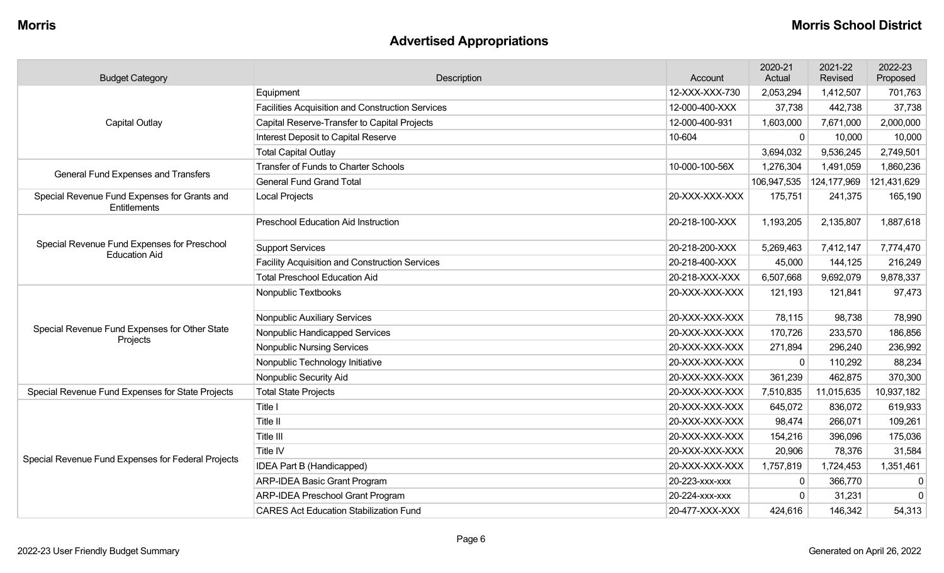# **Advertised Appropriations**

| <b>Budget Category</b>                                              | Description                                           | Account        | 2020-21<br>Actual | 2021-22<br>Revised | 2022-23<br>Proposed |
|---------------------------------------------------------------------|-------------------------------------------------------|----------------|-------------------|--------------------|---------------------|
|                                                                     | Equipment                                             | 12-XXX-XXX-730 | 2,053,294         | 1,412,507          | 701,763             |
|                                                                     | Facilities Acquisition and Construction Services      | 12-000-400-XXX | 37,738            | 442,738            | 37,738              |
| <b>Capital Outlay</b>                                               | Capital Reserve-Transfer to Capital Projects          | 12-000-400-931 | 1,603,000         | 7,671,000          | 2,000,000           |
|                                                                     | Interest Deposit to Capital Reserve                   | 10-604         | $\mathbf 0$       | 10,000             | 10,000              |
|                                                                     | <b>Total Capital Outlay</b>                           |                | 3,694,032         | 9,536,245          | 2,749,501           |
| <b>General Fund Expenses and Transfers</b>                          | <b>Transfer of Funds to Charter Schools</b>           | 10-000-100-56X | 1,276,304         | 1,491,059          | 1,860,236           |
|                                                                     | <b>General Fund Grand Total</b>                       |                | 106,947,535       | 124,177,969        | 121,431,629         |
| Special Revenue Fund Expenses for Grants and<br>Entitlements        | <b>Local Projects</b>                                 | 20-XXX-XXX-XXX | 175,751           | 241,375            | 165,190             |
|                                                                     | <b>Preschool Education Aid Instruction</b>            | 20-218-100-XXX | 1,193,205         | 2,135,807          | 1,887,618           |
| Special Revenue Fund Expenses for Preschool<br><b>Education Aid</b> | <b>Support Services</b>                               | 20-218-200-XXX | 5,269,463         | 7,412,147          | 7,774,470           |
|                                                                     | <b>Facility Acquisition and Construction Services</b> | 20-218-400-XXX | 45,000            | 144,125            | 216,249             |
|                                                                     | <b>Total Preschool Education Aid</b>                  | 20-218-XXX-XXX | 6,507,668         | 9,692,079          | 9,878,337           |
|                                                                     | Nonpublic Textbooks                                   | 20-XXX-XXX-XXX | 121,193           | 121,841            | 97,473              |
|                                                                     | Nonpublic Auxiliary Services                          | 20-XXX-XXX-XXX | 78,115            | 98,738             | 78,990              |
| Special Revenue Fund Expenses for Other State<br>Projects           | Nonpublic Handicapped Services                        | 20-XXX-XXX-XXX | 170,726           | 233,570            | 186,856             |
|                                                                     | <b>Nonpublic Nursing Services</b>                     | 20-XXX-XXX-XXX | 271,894           | 296,240            | 236,992             |
|                                                                     | Nonpublic Technology Initiative                       | 20-XXX-XXX-XXX | $\Omega$          | 110,292            | 88,234              |
|                                                                     | Nonpublic Security Aid                                | 20-XXX-XXX-XXX | 361,239           | 462,875            | 370,300             |
| Special Revenue Fund Expenses for State Projects                    | <b>Total State Projects</b>                           | 20-XXX-XXX-XXX | 7,510,835         | 11,015,635         | 10,937,182          |
|                                                                     | Title I                                               | 20-XXX-XXX-XXX | 645,072           | 836,072            | 619,933             |
|                                                                     | Title II                                              | 20-XXX-XXX-XXX | 98,474            | 266,071            | 109,261             |
|                                                                     | Title III                                             | 20-XXX-XXX-XXX | 154,216           | 396,096            | 175,036             |
| Special Revenue Fund Expenses for Federal Projects                  | Title IV                                              | 20-XXX-XXX-XXX | 20,906            | 78,376             | 31,584              |
|                                                                     | IDEA Part B (Handicapped)                             | 20-XXX-XXX-XXX | 1,757,819         | 1,724,453          | 1,351,461           |
|                                                                     | <b>ARP-IDEA Basic Grant Program</b>                   | 20-223-xxx-xxx | 0                 | 366,770            | $\mathbf 0$         |
|                                                                     | ARP-IDEA Preschool Grant Program                      | 20-224-XXX-XXX | $\mathbf 0$       | 31,231             | $\Omega$            |
|                                                                     | <b>CARES Act Education Stabilization Fund</b>         | 20-477-XXX-XXX | 424,616           | 146,342            | 54,313              |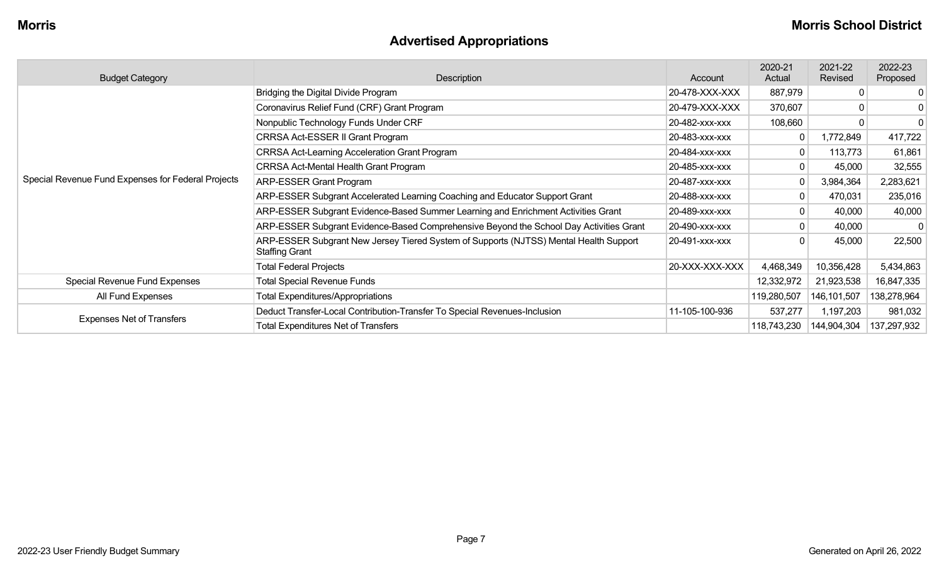# **Advertised Appropriations**

| <b>Budget Category</b>                             | Description                                                                                                    | Account        | 2020-21<br>Actual | 2021-22<br>Revised | 2022-23<br>Proposed |
|----------------------------------------------------|----------------------------------------------------------------------------------------------------------------|----------------|-------------------|--------------------|---------------------|
|                                                    | Bridging the Digital Divide Program                                                                            | 20-478-XXX-XXX | 887,979           |                    | 0                   |
|                                                    | Coronavirus Relief Fund (CRF) Grant Program                                                                    | 20-479-XXX-XXX | 370,607           |                    |                     |
|                                                    | Nonpublic Technology Funds Under CRF                                                                           | 20-482-xxx-xxx | 108,660           |                    |                     |
|                                                    | CRRSA Act-ESSER II Grant Program                                                                               | 20-483-xxx-xxx | 0                 | 1,772,849          | 417,722             |
|                                                    | <b>CRRSA Act-Learning Acceleration Grant Program</b>                                                           | 20-484-XXX-XXX | 0                 | 113,773            | 61,861              |
|                                                    | <b>CRRSA Act-Mental Health Grant Program</b>                                                                   | 20-485-XXX-XXX | 0                 | 45,000             | 32,555              |
| Special Revenue Fund Expenses for Federal Projects | <b>ARP-ESSER Grant Program</b>                                                                                 | 20-487-XXX-XXX | 0                 | 3,984,364          | 2,283,621           |
|                                                    | ARP-ESSER Subgrant Accelerated Learning Coaching and Educator Support Grant                                    | 20-488-xxx-xxx | $\mathbf{0}$      | 470,031            | 235,016             |
|                                                    | ARP-ESSER Subgrant Evidence-Based Summer Learning and Enrichment Activities Grant                              | 20-489-XXX-XXX | 0                 | 40,000             | 40,000              |
|                                                    | ARP-ESSER Subgrant Evidence-Based Comprehensive Beyond the School Day Activities Grant                         | 20-490-XXX-XXX | 0                 | 40,000             |                     |
|                                                    | ARP-ESSER Subgrant New Jersey Tiered System of Supports (NJTSS) Mental Health Support<br><b>Staffing Grant</b> | 20-491-xxx-xxx | 0                 | 45,000             | 22,500              |
|                                                    | <b>Total Federal Projects</b>                                                                                  | 20-XXX-XXX-XXX | 4,468,349         | 10,356,428         | 5,434,863           |
| Special Revenue Fund Expenses                      | <b>Total Special Revenue Funds</b>                                                                             |                | 12,332,972        | 21,923,538         | 16,847,335          |
| All Fund Expenses                                  | <b>Total Expenditures/Appropriations</b>                                                                       |                | 119,280,507       | 146, 101, 507      | 138,278,964         |
|                                                    | Deduct Transfer-Local Contribution-Transfer To Special Revenues-Inclusion                                      | 11-105-100-936 | 537,277           | 1,197,203          | 981,032             |
| <b>Expenses Net of Transfers</b>                   | <b>Total Expenditures Net of Transfers</b>                                                                     |                | 118,743,230       |                    |                     |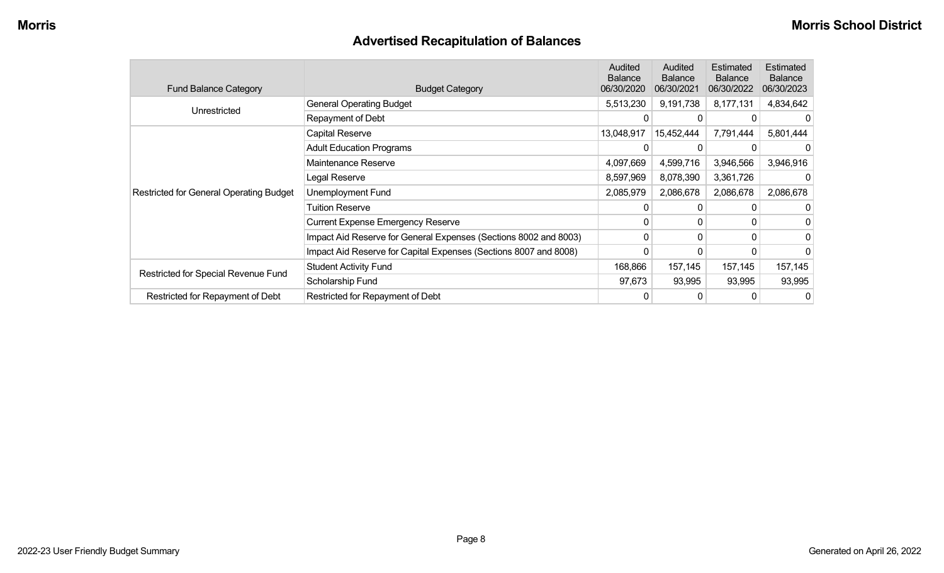# **Advertised Recapitulation of Balances**

| <b>Fund Balance Category</b>                   | <b>Budget Category</b>                                           | Audited<br><b>Balance</b><br>06/30/2020 | Audited<br><b>Balance</b><br>06/30/2021 | Estimated<br><b>Balance</b><br>06/30/2022 | <b>Estimated</b><br><b>Balance</b><br>06/30/2023 |
|------------------------------------------------|------------------------------------------------------------------|-----------------------------------------|-----------------------------------------|-------------------------------------------|--------------------------------------------------|
|                                                | <b>General Operating Budget</b>                                  | 5,513,230                               | 9,191,738                               | 8,177,131                                 | 4,834,642                                        |
| Unrestricted                                   | Repayment of Debt                                                | 0                                       | 0                                       | 0                                         |                                                  |
|                                                | Capital Reserve                                                  | 13,048,917                              | 15,452,444                              | 7,791,444                                 | 5,801,444                                        |
|                                                | <b>Adult Education Programs</b>                                  |                                         |                                         |                                           |                                                  |
|                                                | Maintenance Reserve                                              | 4,097,669                               | 4,599,716                               | 3,946,566                                 | 3,946,916                                        |
|                                                | Legal Reserve                                                    | 8,597,969                               | 8,078,390                               | 3,361,726                                 |                                                  |
| <b>Restricted for General Operating Budget</b> | Unemployment Fund                                                | 2,085,979                               | 2,086,678                               | 2,086,678                                 | 2,086,678                                        |
|                                                | <b>Tuition Reserve</b>                                           |                                         | 0                                       |                                           |                                                  |
|                                                | <b>Current Expense Emergency Reserve</b>                         | 0                                       | $\Omega$                                | 0                                         |                                                  |
|                                                | Impact Aid Reserve for General Expenses (Sections 8002 and 8003) | 0                                       | 0                                       | 0                                         | 0                                                |
|                                                | Impact Aid Reserve for Capital Expenses (Sections 8007 and 8008) | 0                                       | 0                                       | 0                                         |                                                  |
|                                                | <b>Student Activity Fund</b>                                     | 168,866                                 | 157,145                                 | 157,145                                   | 157,145                                          |
| Restricted for Special Revenue Fund            | Scholarship Fund                                                 | 97,673                                  | 93,995                                  | 93,995                                    | 93,995                                           |
| Restricted for Repayment of Debt               | Restricted for Repayment of Debt                                 |                                         |                                         | 0                                         | 0                                                |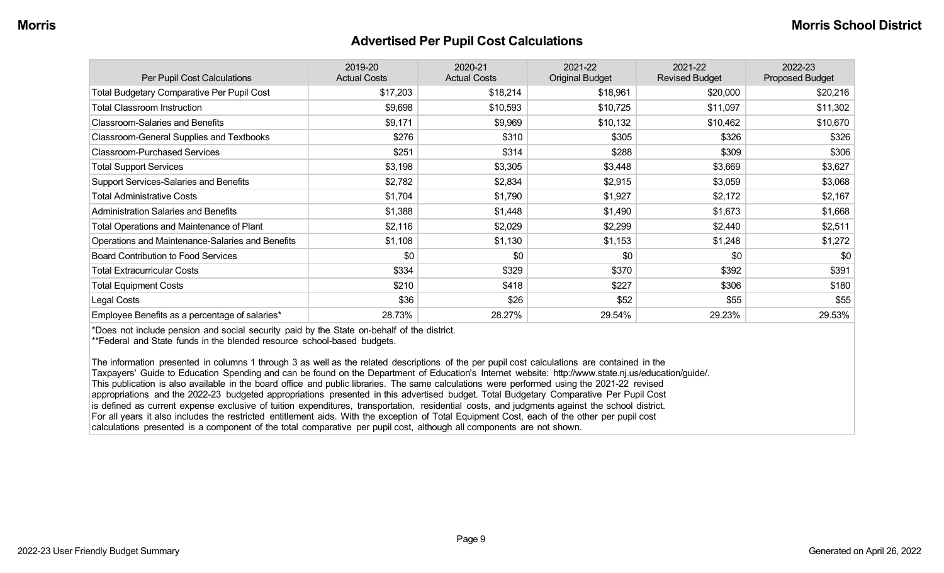#### **Advertised Per Pupil Cost Calculations**

| Per Pupil Cost Calculations                       | 2019-20<br><b>Actual Costs</b> | 2020-21<br><b>Actual Costs</b> | 2021-22<br><b>Original Budget</b> | 2021-22<br><b>Revised Budget</b> | 2022-23<br><b>Proposed Budget</b> |
|---------------------------------------------------|--------------------------------|--------------------------------|-----------------------------------|----------------------------------|-----------------------------------|
| <b>Total Budgetary Comparative Per Pupil Cost</b> | \$17,203                       | \$18,214                       | \$18,961                          | \$20,000                         | \$20,216                          |
| <b>Total Classroom Instruction</b>                | \$9,698                        | \$10,593                       | \$10,725                          | \$11,097                         | \$11,302                          |
| <b>Classroom-Salaries and Benefits</b>            | \$9,171                        | \$9,969                        | \$10,132                          | \$10,462                         | \$10,670                          |
| Classroom-General Supplies and Textbooks          | \$276                          | \$310                          | \$305                             | \$326                            | \$326                             |
| <b>Classroom-Purchased Services</b>               | \$251                          | \$314                          | \$288                             | \$309                            | \$306                             |
| <b>Total Support Services</b>                     | \$3,198                        | \$3,305                        | \$3,448                           | \$3,669                          | \$3,627                           |
| Support Services-Salaries and Benefits            | \$2,782                        | \$2,834                        | \$2,915                           | \$3,059                          | \$3,068                           |
| <b>Total Administrative Costs</b>                 | \$1,704                        | \$1,790                        | \$1,927                           | \$2,172                          | \$2,167                           |
| <b>Administration Salaries and Benefits</b>       | \$1,388                        | \$1,448                        | \$1,490                           | \$1,673                          | \$1,668                           |
| Total Operations and Maintenance of Plant         | \$2,116                        | \$2,029                        | \$2,299                           | \$2,440                          | \$2,511                           |
| Operations and Maintenance-Salaries and Benefits  | \$1,108                        | \$1,130                        | \$1,153                           | \$1,248                          | \$1,272                           |
| <b>Board Contribution to Food Services</b>        | \$0                            | \$0                            | \$0                               | \$0                              | \$0                               |
| <b>Total Extracurricular Costs</b>                | \$334                          | \$329                          | \$370                             | \$392                            | \$391                             |
| <b>Total Equipment Costs</b>                      | \$210                          | \$418                          | \$227                             | \$306                            | \$180                             |
| Legal Costs                                       | \$36                           | \$26                           | \$52                              | \$55                             | \$55                              |
| Employee Benefits as a percentage of salaries*    | 28.73%                         | 28.27%                         | 29.54%                            | 29.23%                           | 29.53%                            |

\*Does not include pension and social security paid by the State on-behalf of the district.

\*\*Federal and State funds in the blended resource school-based budgets.

The information presented in columns 1 through 3 as well as the related descriptions of the per pupil cost calculations are contained in the Taxpayers' Guide to Education Spending and can be found on the Department of Education's Internet website: http://www.state.nj.us/education/guide/. This publication is also available in the board office and public libraries. The same calculations were performed using the 2021-22 revised appropriations and the 2022-23 budgeted appropriations presented in this advertised budget. Total Budgetary Comparative Per Pupil Cost is defined as current expense exclusive of tuition expenditures, transportation, residential costs, and judgments against the school district. For all years it also includes the restricted entitlement aids. With the exception of Total Equipment Cost, each of the other per pupil cost calculations presented is a component of the total comparative per pupil cost, although all components are not shown.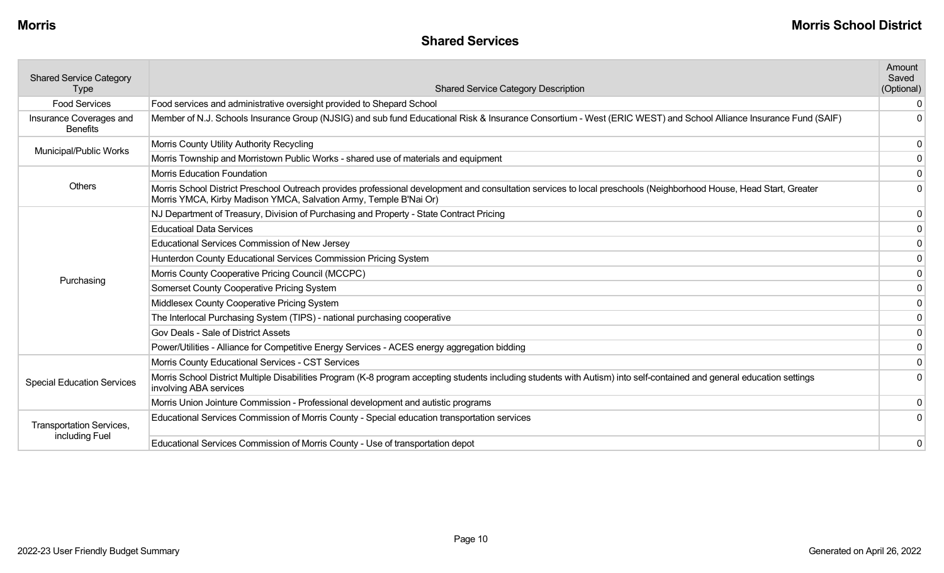| <b>Shared Service Category</b>             |                                                                                                                                                                                                                                         | Amount<br>Saved |
|--------------------------------------------|-----------------------------------------------------------------------------------------------------------------------------------------------------------------------------------------------------------------------------------------|-----------------|
| <b>Type</b>                                | <b>Shared Service Category Description</b>                                                                                                                                                                                              | (Optional)      |
| <b>Food Services</b>                       | Food services and administrative oversight provided to Shepard School                                                                                                                                                                   |                 |
| Insurance Coverages and<br><b>Benefits</b> | Member of N.J. Schools Insurance Group (NJSIG) and sub fund Educational Risk & Insurance Consortium - West (ERIC WEST) and School Alliance Insurance Fund (SAIF)                                                                        | U               |
| Municipal/Public Works                     | Morris County Utility Authority Recycling                                                                                                                                                                                               | $\mathbf 0$     |
|                                            | Morris Township and Morristown Public Works - shared use of materials and equipment                                                                                                                                                     | 0               |
|                                            | Morris Education Foundation                                                                                                                                                                                                             | 0               |
| <b>Others</b>                              | Morris School District Preschool Outreach provides professional development and consultation services to local preschools (Neighborhood House, Head Start, Greater<br>Morris YMCA, Kirby Madison YMCA, Salvation Army, Temple B'Nai Or) | 0               |
|                                            | NJ Department of Treasury, Division of Purchasing and Property - State Contract Pricing                                                                                                                                                 | 0               |
|                                            | <b>Educatioal Data Services</b>                                                                                                                                                                                                         | 0               |
|                                            | Educational Services Commission of New Jersey                                                                                                                                                                                           | 0               |
|                                            | Hunterdon County Educational Services Commission Pricing System                                                                                                                                                                         | 0               |
| Purchasing                                 | Morris County Cooperative Pricing Council (MCCPC)                                                                                                                                                                                       | $\mathbf 0$     |
|                                            | Somerset County Cooperative Pricing System                                                                                                                                                                                              | 0               |
|                                            | Middlesex County Cooperative Pricing System                                                                                                                                                                                             | 0               |
|                                            | The Interlocal Purchasing System (TIPS) - national purchasing cooperative                                                                                                                                                               | 0               |
|                                            | Gov Deals - Sale of District Assets                                                                                                                                                                                                     | $\mathbf{0}$    |
|                                            | Power/Utilities - Alliance for Competitive Energy Services - ACES energy aggregation bidding                                                                                                                                            | 0               |
|                                            | Morris County Educational Services - CST Services                                                                                                                                                                                       | $\mathbf 0$     |
| <b>Special Education Services</b>          | Morris School District Multiple Disabilities Program (K-8 program accepting students including students with Autism) into self-contained and general education settings<br>involving ABA services                                       | 0               |
|                                            | Morris Union Jointure Commission - Professional development and autistic programs                                                                                                                                                       | 0               |
| Transportation Services,                   | Educational Services Commission of Morris County - Special education transportation services                                                                                                                                            | 0               |
| including Fuel                             | Educational Services Commission of Morris County - Use of transportation depot                                                                                                                                                          | 0               |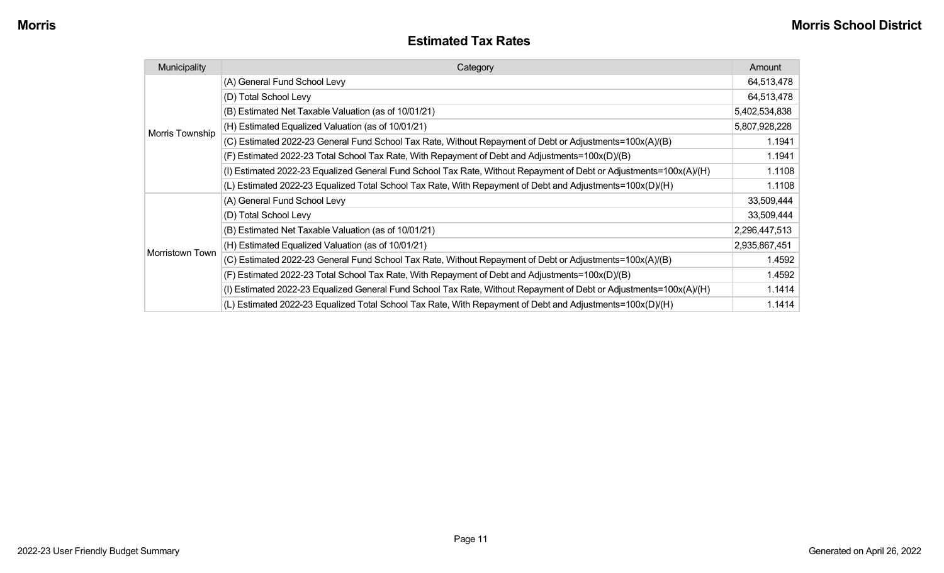#### **Estimated Tax Rates**

| Municipality    | Category                                                                                                           | Amount        |
|-----------------|--------------------------------------------------------------------------------------------------------------------|---------------|
|                 | (A) General Fund School Levy                                                                                       | 64,513,478    |
|                 | (D) Total School Levy                                                                                              | 64,513,478    |
|                 | (B) Estimated Net Taxable Valuation (as of 10/01/21)                                                               | 5,402,534,838 |
| Morris Township | (H) Estimated Equalized Valuation (as of 10/01/21)                                                                 | 5,807,928,228 |
|                 | (C) Estimated 2022-23 General Fund School Tax Rate, Without Repayment of Debt or Adjustments=100x(A)/(B)           | 1.1941        |
|                 | (F) Estimated 2022-23 Total School Tax Rate, With Repayment of Debt and Adjustments=100x(D)/(B)                    | 1.1941        |
|                 | (I) Estimated 2022-23 Equalized General Fund School Tax Rate, Without Repayment of Debt or Adjustments=100x(A)/(H) | 1.1108        |
|                 | (L) Estimated 2022-23 Equalized Total School Tax Rate, With Repayment of Debt and Adjustments=100x(D)/(H)          | 1.1108        |
|                 | (A) General Fund School Levy                                                                                       | 33,509,444    |
|                 | (D) Total School Levy                                                                                              | 33,509,444    |
|                 | (B) Estimated Net Taxable Valuation (as of 10/01/21)                                                               | 2,296,447,513 |
|                 | (H) Estimated Equalized Valuation (as of 10/01/21)                                                                 | 2,935,867,451 |
| Morristown Town | (C) Estimated 2022-23 General Fund School Tax Rate, Without Repayment of Debt or Adjustments=100x(A)/(B)           | 1.4592        |
|                 | (F) Estimated 2022-23 Total School Tax Rate, With Repayment of Debt and Adjustments=100x(D)/(B)                    | 1.4592        |
|                 | (I) Estimated 2022-23 Equalized General Fund School Tax Rate, Without Repayment of Debt or Adjustments=100x(A)/(H) | 1.1414        |
|                 | (L) Estimated 2022-23 Equalized Total School Tax Rate, With Repayment of Debt and Adjustments=100x(D)/(H)          | 1.1414        |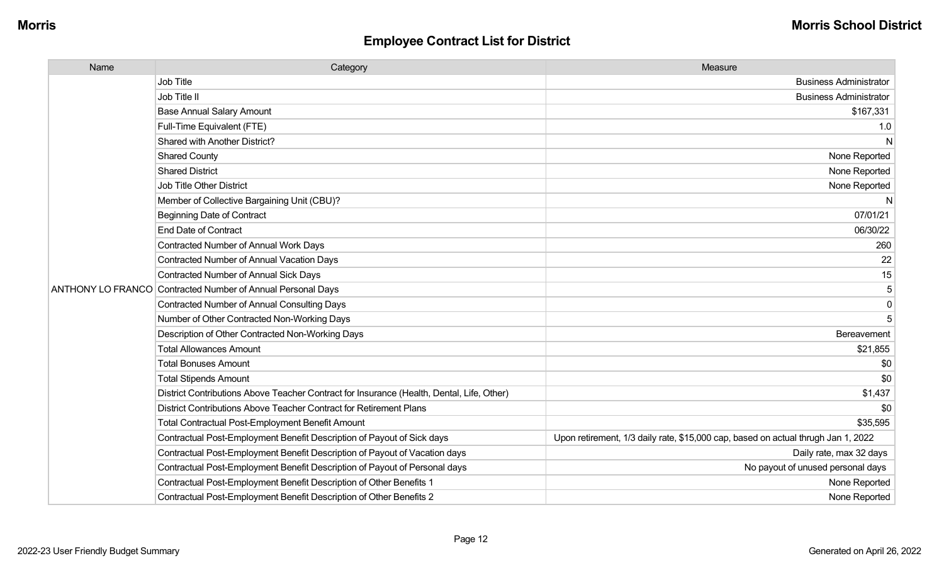| Name | Category                                                                                  | Measure                                                                           |
|------|-------------------------------------------------------------------------------------------|-----------------------------------------------------------------------------------|
|      | Job Title                                                                                 | <b>Business Administrator</b>                                                     |
|      | Job Title II                                                                              | <b>Business Administrator</b>                                                     |
|      | <b>Base Annual Salary Amount</b>                                                          | \$167,331                                                                         |
|      | Full-Time Equivalent (FTE)                                                                | 1.0                                                                               |
|      | Shared with Another District?                                                             | $\mathsf{N}$                                                                      |
|      | <b>Shared County</b>                                                                      | None Reported                                                                     |
|      | <b>Shared District</b>                                                                    | None Reported                                                                     |
|      | Job Title Other District                                                                  | None Reported                                                                     |
|      | Member of Collective Bargaining Unit (CBU)?                                               | N                                                                                 |
|      | Beginning Date of Contract                                                                | 07/01/21                                                                          |
|      | <b>End Date of Contract</b>                                                               | 06/30/22                                                                          |
|      | Contracted Number of Annual Work Days                                                     | 260                                                                               |
|      | Contracted Number of Annual Vacation Days                                                 | 22                                                                                |
|      | <b>Contracted Number of Annual Sick Days</b>                                              | 15                                                                                |
|      | ANTHONY LO FRANCO Contracted Number of Annual Personal Days                               | 5                                                                                 |
|      | <b>Contracted Number of Annual Consulting Days</b>                                        | $\mathbf 0$                                                                       |
|      | Number of Other Contracted Non-Working Days                                               |                                                                                   |
|      | Description of Other Contracted Non-Working Days                                          | Bereavement                                                                       |
|      | <b>Total Allowances Amount</b>                                                            | \$21,855                                                                          |
|      | <b>Total Bonuses Amount</b>                                                               | \$0                                                                               |
|      | <b>Total Stipends Amount</b>                                                              | \$0                                                                               |
|      | District Contributions Above Teacher Contract for Insurance (Health, Dental, Life, Other) | \$1,437                                                                           |
|      | District Contributions Above Teacher Contract for Retirement Plans                        | \$0                                                                               |
|      | <b>Total Contractual Post-Employment Benefit Amount</b>                                   | \$35,595                                                                          |
|      | Contractual Post-Employment Benefit Description of Payout of Sick days                    | Upon retirement, 1/3 daily rate, \$15,000 cap, based on actual thrugh Jan 1, 2022 |
|      | Contractual Post-Employment Benefit Description of Payout of Vacation days                | Daily rate, max 32 days                                                           |
|      | Contractual Post-Employment Benefit Description of Payout of Personal days                | No payout of unused personal days                                                 |
|      | Contractual Post-Employment Benefit Description of Other Benefits 1                       | None Reported                                                                     |
|      | Contractual Post-Employment Benefit Description of Other Benefits 2                       | None Reported                                                                     |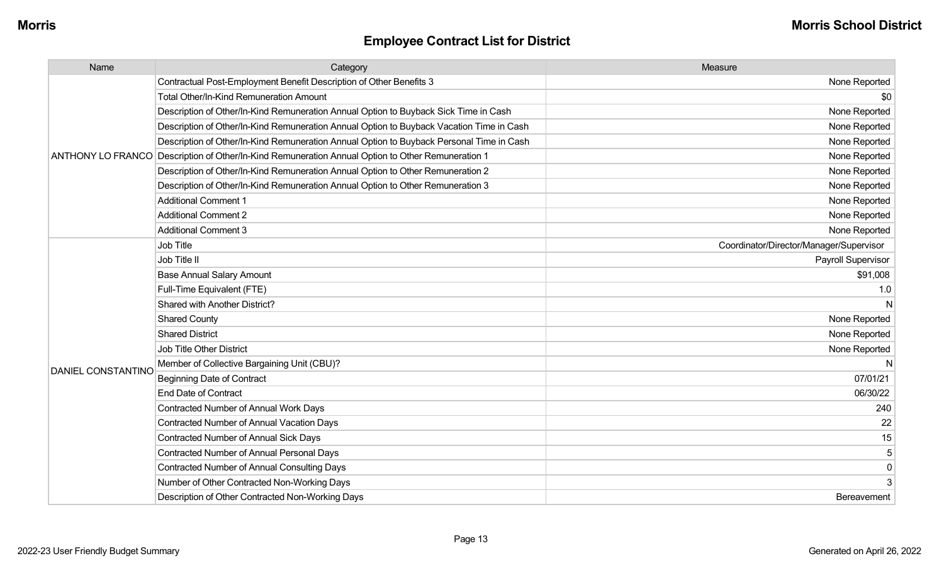| Name                      | Category                                                                                          | Measure                                 |
|---------------------------|---------------------------------------------------------------------------------------------------|-----------------------------------------|
|                           | Contractual Post-Employment Benefit Description of Other Benefits 3                               | None Reported                           |
|                           | Total Other/In-Kind Remuneration Amount                                                           | \$0                                     |
|                           | Description of Other/In-Kind Remuneration Annual Option to Buyback Sick Time in Cash              | None Reported                           |
|                           | Description of Other/In-Kind Remuneration Annual Option to Buyback Vacation Time in Cash          | None Reported                           |
|                           | Description of Other/In-Kind Remuneration Annual Option to Buyback Personal Time in Cash          | None Reported                           |
|                           | ANTHONY LO FRANCO Description of Other/In-Kind Remuneration Annual Option to Other Remuneration 1 | None Reported                           |
|                           | Description of Other/In-Kind Remuneration Annual Option to Other Remuneration 2                   | None Reported                           |
|                           | Description of Other/In-Kind Remuneration Annual Option to Other Remuneration 3                   | None Reported                           |
|                           | <b>Additional Comment 1</b>                                                                       | None Reported                           |
|                           | <b>Additional Comment 2</b>                                                                       | None Reported                           |
|                           | <b>Additional Comment 3</b>                                                                       | None Reported                           |
|                           | Job Title                                                                                         | Coordinator/Director/Manager/Supervisor |
|                           | Job Title II                                                                                      | Payroll Supervisor                      |
|                           | <b>Base Annual Salary Amount</b>                                                                  | \$91,008                                |
|                           | Full-Time Equivalent (FTE)                                                                        | 1.0                                     |
|                           | Shared with Another District?                                                                     | N                                       |
|                           | <b>Shared County</b>                                                                              | None Reported                           |
|                           | <b>Shared District</b>                                                                            | None Reported                           |
|                           | Job Title Other District                                                                          | None Reported                           |
| <b>DANIEL CONSTANTING</b> | Member of Collective Bargaining Unit (CBU)?                                                       | N                                       |
|                           | Beginning Date of Contract                                                                        | 07/01/21                                |
|                           | <b>End Date of Contract</b>                                                                       | 06/30/22                                |
|                           | Contracted Number of Annual Work Days                                                             | 240                                     |
|                           | Contracted Number of Annual Vacation Days                                                         | 22                                      |
|                           | <b>Contracted Number of Annual Sick Days</b>                                                      | 15                                      |
|                           | Contracted Number of Annual Personal Days                                                         |                                         |
|                           | <b>Contracted Number of Annual Consulting Days</b>                                                | $\pmb{0}$                               |
|                           | Number of Other Contracted Non-Working Days                                                       | 3                                       |
|                           | Description of Other Contracted Non-Working Days                                                  | <b>Bereavement</b>                      |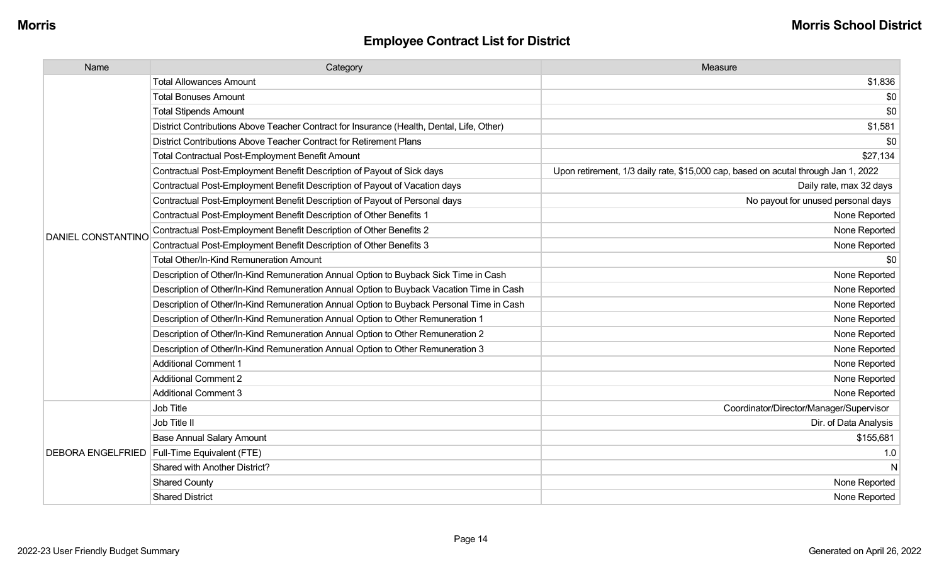| Name                      | Category                                                                                  | Measure                                                                            |
|---------------------------|-------------------------------------------------------------------------------------------|------------------------------------------------------------------------------------|
|                           | <b>Total Allowances Amount</b>                                                            | \$1,836                                                                            |
|                           | <b>Total Bonuses Amount</b>                                                               | \$0                                                                                |
|                           | <b>Total Stipends Amount</b>                                                              | \$0                                                                                |
|                           | District Contributions Above Teacher Contract for Insurance (Health, Dental, Life, Other) | \$1,581                                                                            |
|                           | District Contributions Above Teacher Contract for Retirement Plans                        | \$0                                                                                |
|                           | Total Contractual Post-Employment Benefit Amount                                          | \$27,134                                                                           |
|                           | Contractual Post-Employment Benefit Description of Payout of Sick days                    | Upon retirement, 1/3 daily rate, \$15,000 cap, based on acutal through Jan 1, 2022 |
|                           | Contractual Post-Employment Benefit Description of Payout of Vacation days                | Daily rate, max 32 days                                                            |
|                           | Contractual Post-Employment Benefit Description of Payout of Personal days                | No payout for unused personal days                                                 |
|                           | Contractual Post-Employment Benefit Description of Other Benefits 1                       | None Reported                                                                      |
| <b>DANIEL CONSTANTING</b> | Contractual Post-Employment Benefit Description of Other Benefits 2                       | None Reported                                                                      |
|                           | Contractual Post-Employment Benefit Description of Other Benefits 3                       | None Reported                                                                      |
|                           | <b>Total Other/In-Kind Remuneration Amount</b>                                            | \$0                                                                                |
|                           | Description of Other/In-Kind Remuneration Annual Option to Buyback Sick Time in Cash      | None Reported                                                                      |
|                           | Description of Other/In-Kind Remuneration Annual Option to Buyback Vacation Time in Cash  | None Reported                                                                      |
|                           | Description of Other/In-Kind Remuneration Annual Option to Buyback Personal Time in Cash  | None Reported                                                                      |
|                           | Description of Other/In-Kind Remuneration Annual Option to Other Remuneration 1           | None Reported                                                                      |
|                           | Description of Other/In-Kind Remuneration Annual Option to Other Remuneration 2           | None Reported                                                                      |
|                           | Description of Other/In-Kind Remuneration Annual Option to Other Remuneration 3           | None Reported                                                                      |
|                           | <b>Additional Comment 1</b>                                                               | None Reported                                                                      |
|                           | <b>Additional Comment 2</b>                                                               | None Reported                                                                      |
|                           | <b>Additional Comment 3</b>                                                               | None Reported                                                                      |
|                           | Job Title                                                                                 | Coordinator/Director/Manager/Supervisor                                            |
|                           | Job Title II                                                                              | Dir. of Data Analysis                                                              |
|                           | <b>Base Annual Salary Amount</b>                                                          | \$155,681                                                                          |
|                           | DEBORA ENGELFRIED   Full-Time Equivalent (FTE)                                            | 1.0                                                                                |
|                           | Shared with Another District?                                                             | N                                                                                  |
|                           | <b>Shared County</b>                                                                      | None Reported                                                                      |
|                           | <b>Shared District</b>                                                                    | None Reported                                                                      |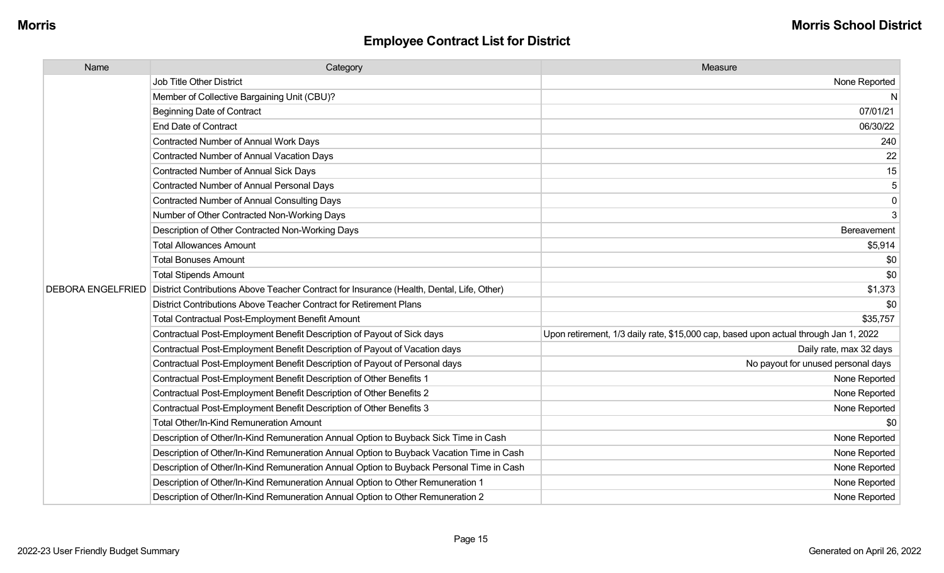| Name                     | Category                                                                                  | Measure                                                                              |
|--------------------------|-------------------------------------------------------------------------------------------|--------------------------------------------------------------------------------------|
|                          | Job Title Other District                                                                  | None Reported                                                                        |
|                          | Member of Collective Bargaining Unit (CBU)?                                               | N                                                                                    |
|                          | <b>Beginning Date of Contract</b>                                                         | 07/01/21                                                                             |
|                          | <b>End Date of Contract</b>                                                               | 06/30/22                                                                             |
|                          | Contracted Number of Annual Work Days                                                     | 240                                                                                  |
|                          | <b>Contracted Number of Annual Vacation Days</b>                                          | 22                                                                                   |
|                          | <b>Contracted Number of Annual Sick Days</b>                                              | 15                                                                                   |
|                          | Contracted Number of Annual Personal Days                                                 | 5                                                                                    |
|                          | <b>Contracted Number of Annual Consulting Days</b>                                        | $\mathbf 0$                                                                          |
|                          | Number of Other Contracted Non-Working Days                                               | 3                                                                                    |
|                          | Description of Other Contracted Non-Working Days                                          | Bereavement                                                                          |
|                          | <b>Total Allowances Amount</b>                                                            | \$5,914                                                                              |
|                          | <b>Total Bonuses Amount</b>                                                               | \$0                                                                                  |
|                          | <b>Total Stipends Amount</b>                                                              | \$0                                                                                  |
| <b>DEBORA ENGELFRIED</b> | District Contributions Above Teacher Contract for Insurance (Health, Dental, Life, Other) | \$1,373                                                                              |
|                          | District Contributions Above Teacher Contract for Retirement Plans                        | \$0                                                                                  |
|                          | Total Contractual Post-Employment Benefit Amount                                          | \$35,757                                                                             |
|                          | Contractual Post-Employment Benefit Description of Payout of Sick days                    | Upon retirement, 1/3 daily rate, \$15,000 cap, based upon actual through Jan 1, 2022 |
|                          | Contractual Post-Employment Benefit Description of Payout of Vacation days                | Daily rate, max 32 days                                                              |
|                          | Contractual Post-Employment Benefit Description of Payout of Personal days                | No payout for unused personal days                                                   |
|                          | Contractual Post-Employment Benefit Description of Other Benefits 1                       | None Reported                                                                        |
|                          | Contractual Post-Employment Benefit Description of Other Benefits 2                       | None Reported                                                                        |
|                          | Contractual Post-Employment Benefit Description of Other Benefits 3                       | None Reported                                                                        |
|                          | <b>Total Other/In-Kind Remuneration Amount</b>                                            | \$0                                                                                  |
|                          | Description of Other/In-Kind Remuneration Annual Option to Buyback Sick Time in Cash      | None Reported                                                                        |
|                          | Description of Other/In-Kind Remuneration Annual Option to Buyback Vacation Time in Cash  | None Reported                                                                        |
|                          | Description of Other/In-Kind Remuneration Annual Option to Buyback Personal Time in Cash  | None Reported                                                                        |
|                          | Description of Other/In-Kind Remuneration Annual Option to Other Remuneration 1           | None Reported                                                                        |
|                          | Description of Other/In-Kind Remuneration Annual Option to Other Remuneration 2           | None Reported                                                                        |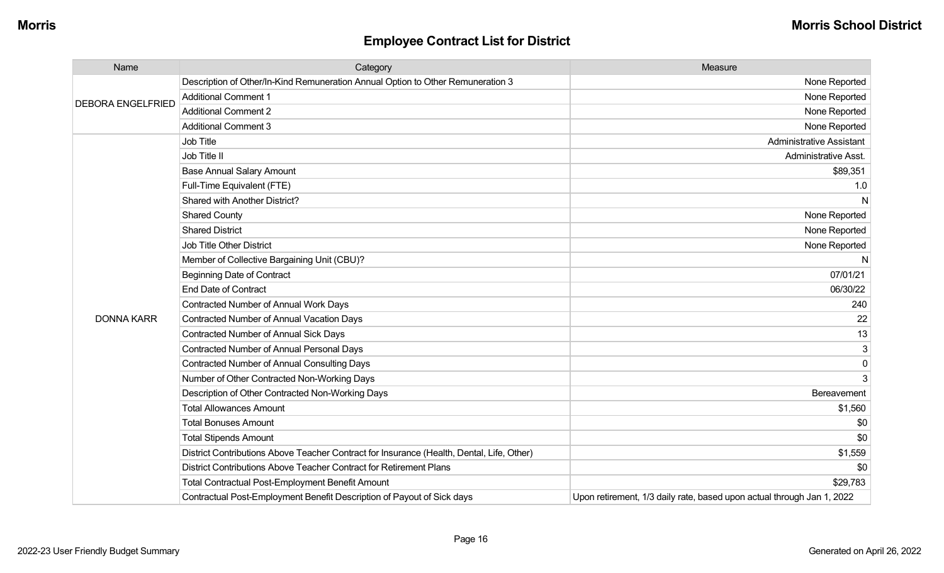| Name                     | Category                                                                                  | Measure                                                                |
|--------------------------|-------------------------------------------------------------------------------------------|------------------------------------------------------------------------|
|                          | Description of Other/In-Kind Remuneration Annual Option to Other Remuneration 3           | None Reported                                                          |
| <b>DEBORA ENGELFRIED</b> | <b>Additional Comment 1</b>                                                               | None Reported                                                          |
|                          | <b>Additional Comment 2</b>                                                               | None Reported                                                          |
|                          | <b>Additional Comment 3</b>                                                               | None Reported                                                          |
|                          | Job Title                                                                                 | <b>Administrative Assistant</b>                                        |
|                          | Job Title II                                                                              | Administrative Asst.                                                   |
|                          | <b>Base Annual Salary Amount</b>                                                          | \$89,351                                                               |
|                          | Full-Time Equivalent (FTE)                                                                | 1.0                                                                    |
|                          | Shared with Another District?                                                             | N                                                                      |
|                          | <b>Shared County</b>                                                                      | None Reported                                                          |
|                          | <b>Shared District</b>                                                                    | None Reported                                                          |
|                          | <b>Job Title Other District</b>                                                           | None Reported                                                          |
|                          | Member of Collective Bargaining Unit (CBU)?                                               | N                                                                      |
|                          | <b>Beginning Date of Contract</b>                                                         | 07/01/21                                                               |
|                          | <b>End Date of Contract</b>                                                               | 06/30/22                                                               |
|                          | Contracted Number of Annual Work Days                                                     | 240                                                                    |
| <b>DONNA KARR</b>        | <b>Contracted Number of Annual Vacation Days</b>                                          | 22                                                                     |
|                          | <b>Contracted Number of Annual Sick Days</b>                                              | 13                                                                     |
|                          | <b>Contracted Number of Annual Personal Days</b>                                          | 3                                                                      |
|                          | <b>Contracted Number of Annual Consulting Days</b>                                        | 0                                                                      |
|                          | Number of Other Contracted Non-Working Days                                               | 3                                                                      |
|                          | Description of Other Contracted Non-Working Days                                          | Bereavement                                                            |
|                          | <b>Total Allowances Amount</b>                                                            | \$1,560                                                                |
|                          | <b>Total Bonuses Amount</b>                                                               | \$0                                                                    |
|                          | <b>Total Stipends Amount</b>                                                              | \$0                                                                    |
|                          | District Contributions Above Teacher Contract for Insurance (Health, Dental, Life, Other) | \$1,559                                                                |
|                          | District Contributions Above Teacher Contract for Retirement Plans                        | \$0                                                                    |
|                          | <b>Total Contractual Post-Employment Benefit Amount</b>                                   | \$29,783                                                               |
|                          | Contractual Post-Employment Benefit Description of Payout of Sick days                    | Upon retirement, 1/3 daily rate, based upon actual through Jan 1, 2022 |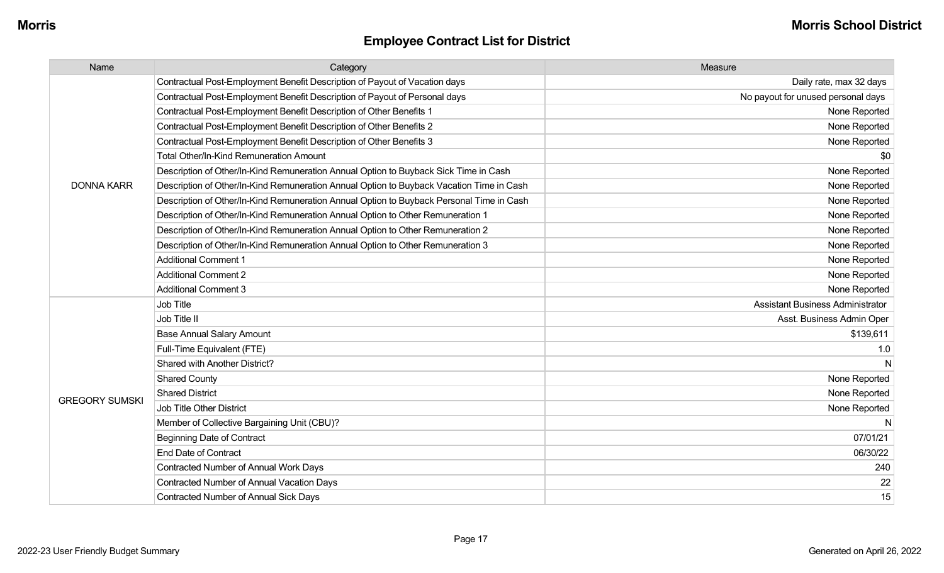| Name                  | Category                                                                                 | Measure                                 |
|-----------------------|------------------------------------------------------------------------------------------|-----------------------------------------|
|                       | Contractual Post-Employment Benefit Description of Payout of Vacation days               | Daily rate, max 32 days                 |
|                       | Contractual Post-Employment Benefit Description of Payout of Personal days               | No payout for unused personal days      |
|                       | Contractual Post-Employment Benefit Description of Other Benefits 1                      | None Reported                           |
|                       | Contractual Post-Employment Benefit Description of Other Benefits 2                      | None Reported                           |
|                       | Contractual Post-Employment Benefit Description of Other Benefits 3                      | None Reported                           |
|                       | <b>Total Other/In-Kind Remuneration Amount</b>                                           | \$0                                     |
|                       | Description of Other/In-Kind Remuneration Annual Option to Buyback Sick Time in Cash     | None Reported                           |
| <b>DONNA KARR</b>     | Description of Other/In-Kind Remuneration Annual Option to Buyback Vacation Time in Cash | None Reported                           |
|                       | Description of Other/In-Kind Remuneration Annual Option to Buyback Personal Time in Cash | None Reported                           |
|                       | Description of Other/In-Kind Remuneration Annual Option to Other Remuneration 1          | None Reported                           |
|                       | Description of Other/In-Kind Remuneration Annual Option to Other Remuneration 2          | None Reported                           |
|                       | Description of Other/In-Kind Remuneration Annual Option to Other Remuneration 3          | None Reported                           |
|                       | <b>Additional Comment 1</b>                                                              | None Reported                           |
|                       | <b>Additional Comment 2</b>                                                              | None Reported                           |
|                       | <b>Additional Comment 3</b>                                                              | None Reported                           |
|                       | Job Title                                                                                | <b>Assistant Business Administrator</b> |
|                       | Job Title II                                                                             | Asst. Business Admin Oper               |
|                       | <b>Base Annual Salary Amount</b>                                                         | \$139,611                               |
|                       | Full-Time Equivalent (FTE)                                                               | 1.0                                     |
|                       | Shared with Another District?                                                            | N                                       |
|                       | <b>Shared County</b>                                                                     | None Reported                           |
| <b>GREGORY SUMSKI</b> | <b>Shared District</b>                                                                   | None Reported                           |
|                       | Job Title Other District                                                                 | None Reported                           |
|                       | Member of Collective Bargaining Unit (CBU)?                                              | N                                       |
|                       | <b>Beginning Date of Contract</b>                                                        | 07/01/21                                |
|                       | <b>End Date of Contract</b>                                                              | 06/30/22                                |
|                       | Contracted Number of Annual Work Days                                                    | 240                                     |
|                       | <b>Contracted Number of Annual Vacation Days</b>                                         | 22                                      |
|                       | <b>Contracted Number of Annual Sick Days</b>                                             | 15                                      |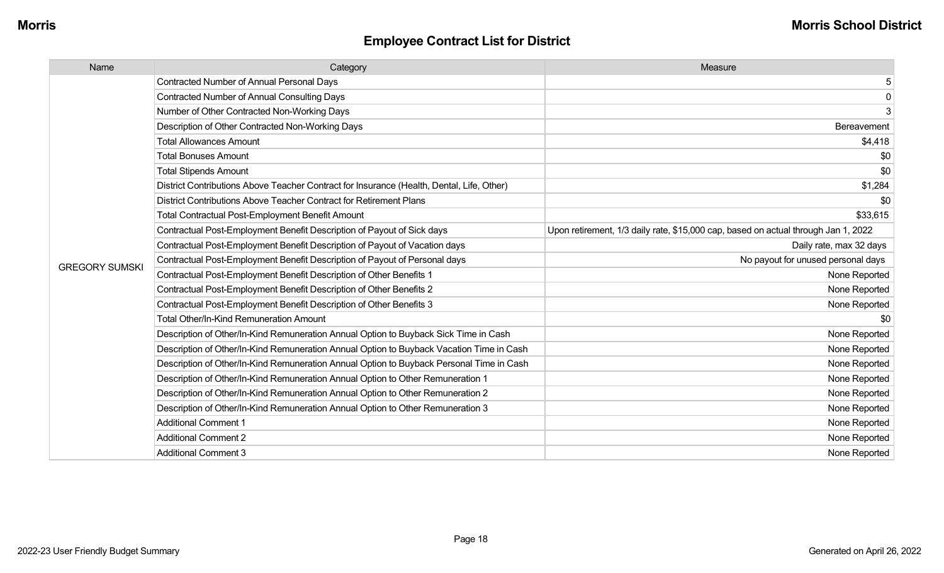| Name                  | Category                                                                                  | Measure                                                                            |
|-----------------------|-------------------------------------------------------------------------------------------|------------------------------------------------------------------------------------|
|                       | <b>Contracted Number of Annual Personal Days</b>                                          |                                                                                    |
|                       | <b>Contracted Number of Annual Consulting Days</b>                                        | $\mathbf 0$                                                                        |
|                       | Number of Other Contracted Non-Working Days                                               | 3                                                                                  |
|                       | Description of Other Contracted Non-Working Days                                          | Bereavement                                                                        |
|                       | <b>Total Allowances Amount</b>                                                            | \$4,418                                                                            |
|                       | <b>Total Bonuses Amount</b>                                                               | \$0                                                                                |
|                       | <b>Total Stipends Amount</b>                                                              | \$0                                                                                |
|                       | District Contributions Above Teacher Contract for Insurance (Health, Dental, Life, Other) | \$1,284                                                                            |
|                       | District Contributions Above Teacher Contract for Retirement Plans                        | \$0                                                                                |
|                       | <b>Total Contractual Post-Employment Benefit Amount</b>                                   | \$33,615                                                                           |
|                       | Contractual Post-Employment Benefit Description of Payout of Sick days                    | Upon retirement, 1/3 daily rate, \$15,000 cap, based on actual through Jan 1, 2022 |
|                       | Contractual Post-Employment Benefit Description of Payout of Vacation days                | Daily rate, max 32 days                                                            |
| <b>GREGORY SUMSKI</b> | Contractual Post-Employment Benefit Description of Payout of Personal days                | No payout for unused personal days                                                 |
|                       | Contractual Post-Employment Benefit Description of Other Benefits 1                       | None Reported                                                                      |
|                       | Contractual Post-Employment Benefit Description of Other Benefits 2                       | None Reported                                                                      |
|                       | Contractual Post-Employment Benefit Description of Other Benefits 3                       | None Reported                                                                      |
|                       | <b>Total Other/In-Kind Remuneration Amount</b>                                            | \$0                                                                                |
|                       | Description of Other/In-Kind Remuneration Annual Option to Buyback Sick Time in Cash      | None Reported                                                                      |
|                       | Description of Other/In-Kind Remuneration Annual Option to Buyback Vacation Time in Cash  | None Reported                                                                      |
|                       | Description of Other/In-Kind Remuneration Annual Option to Buyback Personal Time in Cash  | None Reported                                                                      |
|                       | Description of Other/In-Kind Remuneration Annual Option to Other Remuneration 1           | None Reported                                                                      |
|                       | Description of Other/In-Kind Remuneration Annual Option to Other Remuneration 2           | None Reported                                                                      |
|                       | Description of Other/In-Kind Remuneration Annual Option to Other Remuneration 3           | None Reported                                                                      |
|                       | <b>Additional Comment 1</b>                                                               | None Reported                                                                      |
|                       | <b>Additional Comment 2</b>                                                               | None Reported                                                                      |
|                       | <b>Additional Comment 3</b>                                                               | None Reported                                                                      |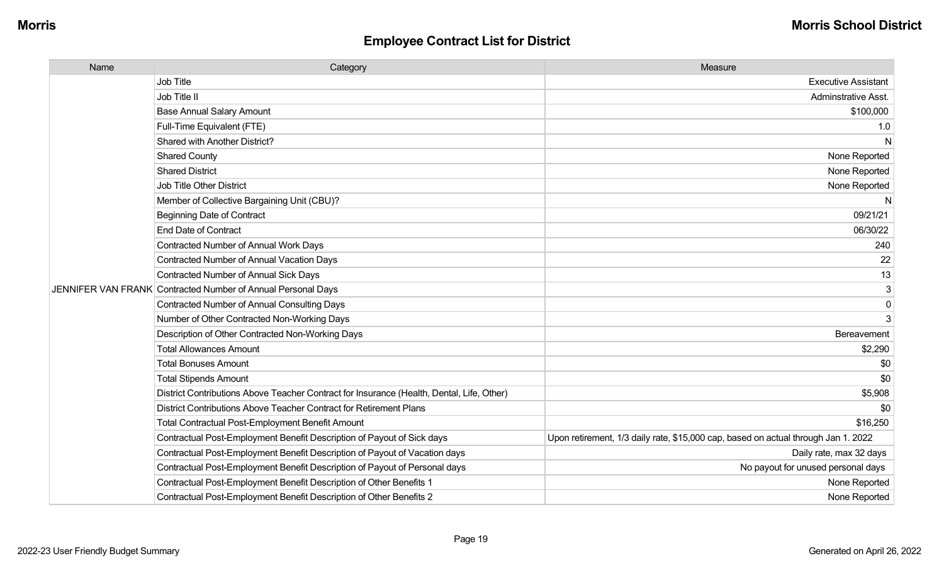| Name | Category                                                                                  | Measure                                                                            |
|------|-------------------------------------------------------------------------------------------|------------------------------------------------------------------------------------|
|      | <b>Job Title</b>                                                                          | <b>Executive Assistant</b>                                                         |
|      | Job Title II                                                                              | Adminstrative Asst.                                                                |
|      | <b>Base Annual Salary Amount</b>                                                          | \$100,000                                                                          |
|      | Full-Time Equivalent (FTE)                                                                | 1.0                                                                                |
|      | <b>Shared with Another District?</b>                                                      | N                                                                                  |
|      | <b>Shared County</b>                                                                      | None Reported                                                                      |
|      | <b>Shared District</b>                                                                    | None Reported                                                                      |
|      | <b>Job Title Other District</b>                                                           | None Reported                                                                      |
|      | Member of Collective Bargaining Unit (CBU)?                                               | N                                                                                  |
|      | <b>Beginning Date of Contract</b>                                                         | 09/21/21                                                                           |
|      | <b>End Date of Contract</b>                                                               | 06/30/22                                                                           |
|      | <b>Contracted Number of Annual Work Days</b>                                              | 240                                                                                |
|      | <b>Contracted Number of Annual Vacation Days</b>                                          | 22                                                                                 |
|      | <b>Contracted Number of Annual Sick Days</b>                                              | 13                                                                                 |
|      | JENNIFER VAN FRANK Contracted Number of Annual Personal Days                              | $\mathbf{3}$                                                                       |
|      | <b>Contracted Number of Annual Consulting Days</b>                                        | $\mathbf 0$                                                                        |
|      | Number of Other Contracted Non-Working Days                                               | 3                                                                                  |
|      | Description of Other Contracted Non-Working Days                                          | Bereavement                                                                        |
|      | <b>Total Allowances Amount</b>                                                            | \$2,290                                                                            |
|      | <b>Total Bonuses Amount</b>                                                               | \$0                                                                                |
|      | <b>Total Stipends Amount</b>                                                              | \$0                                                                                |
|      | District Contributions Above Teacher Contract for Insurance (Health, Dental, Life, Other) | \$5,908                                                                            |
|      | District Contributions Above Teacher Contract for Retirement Plans                        | \$0                                                                                |
|      | <b>Total Contractual Post-Employment Benefit Amount</b>                                   | \$16,250                                                                           |
|      | Contractual Post-Employment Benefit Description of Payout of Sick days                    | Upon retirement, 1/3 daily rate, \$15,000 cap, based on actual through Jan 1. 2022 |
|      | Contractual Post-Employment Benefit Description of Payout of Vacation days                | Daily rate, max 32 days                                                            |
|      | Contractual Post-Employment Benefit Description of Payout of Personal days                | No payout for unused personal days                                                 |
|      | Contractual Post-Employment Benefit Description of Other Benefits 1                       | None Reported                                                                      |
|      | Contractual Post-Employment Benefit Description of Other Benefits 2                       | None Reported                                                                      |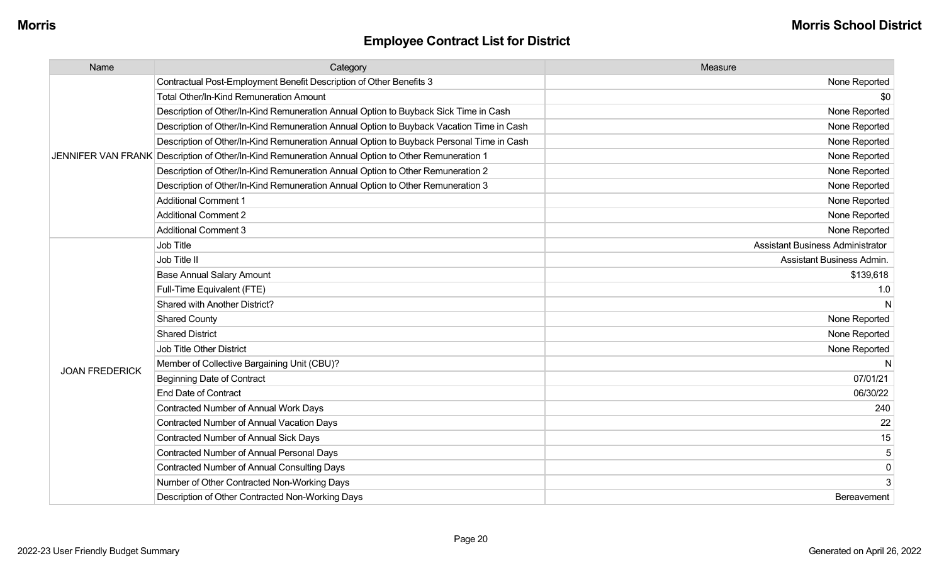| Name                  | Category                                                                                           | Measure                                 |
|-----------------------|----------------------------------------------------------------------------------------------------|-----------------------------------------|
|                       | Contractual Post-Employment Benefit Description of Other Benefits 3                                | None Reported                           |
|                       | <b>Total Other/In-Kind Remuneration Amount</b>                                                     | \$0                                     |
|                       | Description of Other/In-Kind Remuneration Annual Option to Buyback Sick Time in Cash               | None Reported                           |
|                       | Description of Other/In-Kind Remuneration Annual Option to Buyback Vacation Time in Cash           | None Reported                           |
|                       | Description of Other/In-Kind Remuneration Annual Option to Buyback Personal Time in Cash           | None Reported                           |
|                       | JENNIFER VAN FRANK Description of Other/In-Kind Remuneration Annual Option to Other Remuneration 1 | None Reported                           |
|                       | Description of Other/In-Kind Remuneration Annual Option to Other Remuneration 2                    | None Reported                           |
|                       | Description of Other/In-Kind Remuneration Annual Option to Other Remuneration 3                    | None Reported                           |
|                       | <b>Additional Comment 1</b>                                                                        | None Reported                           |
|                       | <b>Additional Comment 2</b>                                                                        | None Reported                           |
|                       | <b>Additional Comment 3</b>                                                                        | None Reported                           |
|                       | Job Title                                                                                          | <b>Assistant Business Administrator</b> |
|                       | Job Title II                                                                                       | Assistant Business Admin.               |
|                       | <b>Base Annual Salary Amount</b>                                                                   | \$139,618                               |
|                       | Full-Time Equivalent (FTE)                                                                         | 1.0                                     |
|                       | <b>Shared with Another District?</b>                                                               | N                                       |
|                       | <b>Shared County</b>                                                                               | None Reported                           |
|                       | <b>Shared District</b>                                                                             | None Reported                           |
|                       | <b>Job Title Other District</b>                                                                    | None Reported                           |
| <b>JOAN FREDERICK</b> | Member of Collective Bargaining Unit (CBU)?                                                        | N                                       |
|                       | <b>Beginning Date of Contract</b>                                                                  | 07/01/21                                |
|                       | <b>End Date of Contract</b>                                                                        | 06/30/22                                |
|                       | <b>Contracted Number of Annual Work Days</b>                                                       | 240                                     |
|                       | <b>Contracted Number of Annual Vacation Days</b>                                                   | 22                                      |
|                       | <b>Contracted Number of Annual Sick Days</b>                                                       | 15                                      |
|                       | Contracted Number of Annual Personal Days                                                          |                                         |
|                       | Contracted Number of Annual Consulting Days                                                        | $\pmb{0}$                               |
|                       | Number of Other Contracted Non-Working Days                                                        | 3                                       |
|                       | Description of Other Contracted Non-Working Days                                                   | Bereavement                             |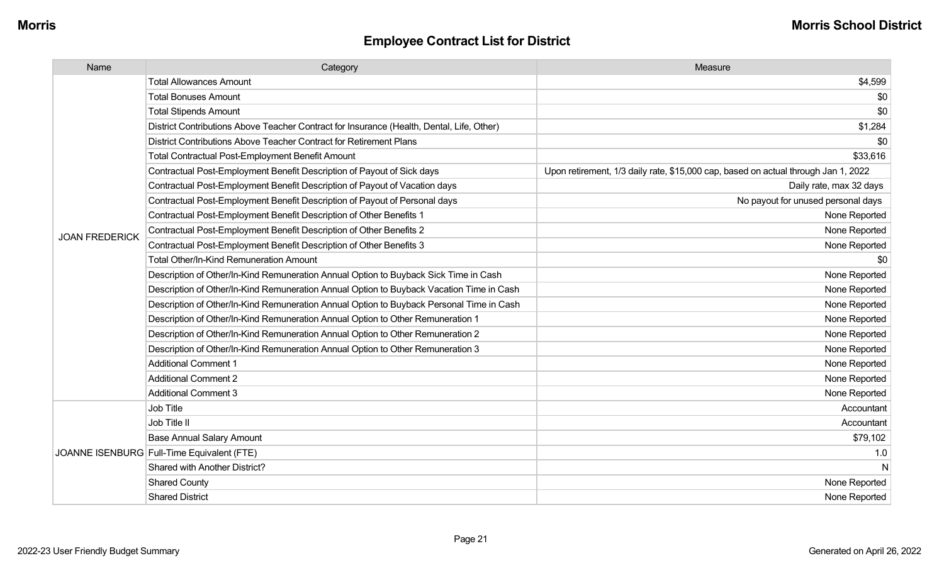| Name                  | Category                                                                                  | Measure                                                                            |
|-----------------------|-------------------------------------------------------------------------------------------|------------------------------------------------------------------------------------|
|                       | <b>Total Allowances Amount</b>                                                            | \$4,599                                                                            |
|                       | <b>Total Bonuses Amount</b>                                                               | \$0                                                                                |
|                       | <b>Total Stipends Amount</b>                                                              | \$0                                                                                |
|                       | District Contributions Above Teacher Contract for Insurance (Health, Dental, Life, Other) | \$1,284                                                                            |
|                       | District Contributions Above Teacher Contract for Retirement Plans                        | \$0                                                                                |
|                       | <b>Total Contractual Post-Employment Benefit Amount</b>                                   | \$33,616                                                                           |
|                       | Contractual Post-Employment Benefit Description of Payout of Sick days                    | Upon retirement, 1/3 daily rate, \$15,000 cap, based on actual through Jan 1, 2022 |
|                       | Contractual Post-Employment Benefit Description of Payout of Vacation days                | Daily rate, max 32 days                                                            |
|                       | Contractual Post-Employment Benefit Description of Payout of Personal days                | No payout for unused personal days                                                 |
|                       | Contractual Post-Employment Benefit Description of Other Benefits 1                       | None Reported                                                                      |
| <b>JOAN FREDERICK</b> | Contractual Post-Employment Benefit Description of Other Benefits 2                       | None Reported                                                                      |
|                       | Contractual Post-Employment Benefit Description of Other Benefits 3                       | None Reported                                                                      |
|                       | <b>Total Other/In-Kind Remuneration Amount</b>                                            | \$0                                                                                |
|                       | Description of Other/In-Kind Remuneration Annual Option to Buyback Sick Time in Cash      | None Reported                                                                      |
|                       | Description of Other/In-Kind Remuneration Annual Option to Buyback Vacation Time in Cash  | None Reported                                                                      |
|                       | Description of Other/In-Kind Remuneration Annual Option to Buyback Personal Time in Cash  | None Reported                                                                      |
|                       | Description of Other/In-Kind Remuneration Annual Option to Other Remuneration 1           | None Reported                                                                      |
|                       | Description of Other/In-Kind Remuneration Annual Option to Other Remuneration 2           | None Reported                                                                      |
|                       | Description of Other/In-Kind Remuneration Annual Option to Other Remuneration 3           | None Reported                                                                      |
|                       | <b>Additional Comment 1</b>                                                               | None Reported                                                                      |
|                       | <b>Additional Comment 2</b>                                                               | None Reported                                                                      |
|                       | <b>Additional Comment 3</b>                                                               | None Reported                                                                      |
|                       | Job Title                                                                                 | Accountant                                                                         |
|                       | Job Title II                                                                              | Accountant                                                                         |
|                       | <b>Base Annual Salary Amount</b>                                                          | \$79,102                                                                           |
|                       | JOANNE ISENBURG Full-Time Equivalent (FTE)                                                | 1.0                                                                                |
|                       | Shared with Another District?                                                             | N                                                                                  |
|                       | <b>Shared County</b>                                                                      | None Reported                                                                      |
|                       | <b>Shared District</b>                                                                    | None Reported                                                                      |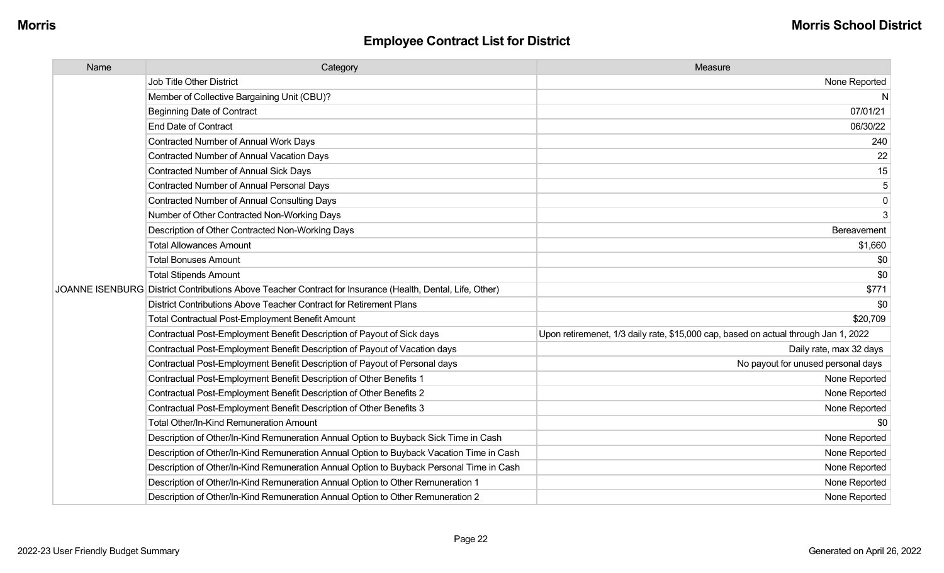| Name                   | Category                                                                                  | Measure                                                                             |
|------------------------|-------------------------------------------------------------------------------------------|-------------------------------------------------------------------------------------|
|                        | <b>Job Title Other District</b>                                                           | None Reported                                                                       |
|                        | Member of Collective Bargaining Unit (CBU)?                                               | N                                                                                   |
|                        | <b>Beginning Date of Contract</b>                                                         | 07/01/21                                                                            |
|                        | <b>End Date of Contract</b>                                                               | 06/30/22                                                                            |
|                        | Contracted Number of Annual Work Days                                                     | 240                                                                                 |
|                        | <b>Contracted Number of Annual Vacation Days</b>                                          | 22                                                                                  |
|                        | <b>Contracted Number of Annual Sick Days</b>                                              | 15                                                                                  |
|                        | <b>Contracted Number of Annual Personal Days</b>                                          |                                                                                     |
|                        | <b>Contracted Number of Annual Consulting Days</b>                                        | $\Omega$                                                                            |
|                        | Number of Other Contracted Non-Working Days                                               |                                                                                     |
|                        | Description of Other Contracted Non-Working Days                                          | Bereavement                                                                         |
|                        | <b>Total Allowances Amount</b>                                                            | \$1,660                                                                             |
|                        | <b>Total Bonuses Amount</b>                                                               | \$0                                                                                 |
|                        | <b>Total Stipends Amount</b>                                                              | \$0                                                                                 |
| <b>JOANNE ISENBURG</b> | District Contributions Above Teacher Contract for Insurance (Health, Dental, Life, Other) | \$771                                                                               |
|                        | District Contributions Above Teacher Contract for Retirement Plans                        | -\$0                                                                                |
|                        | Total Contractual Post-Employment Benefit Amount                                          | \$20,709                                                                            |
|                        | Contractual Post-Employment Benefit Description of Payout of Sick days                    | Upon retiremenet, 1/3 daily rate, \$15,000 cap, based on actual through Jan 1, 2022 |
|                        | Contractual Post-Employment Benefit Description of Payout of Vacation days                | Daily rate, max 32 days                                                             |
|                        | Contractual Post-Employment Benefit Description of Payout of Personal days                | No payout for unused personal days                                                  |
|                        | Contractual Post-Employment Benefit Description of Other Benefits 1                       | None Reported                                                                       |
|                        | Contractual Post-Employment Benefit Description of Other Benefits 2                       | None Reported                                                                       |
|                        | Contractual Post-Employment Benefit Description of Other Benefits 3                       | None Reported                                                                       |
|                        | <b>Total Other/In-Kind Remuneration Amount</b>                                            | \$0                                                                                 |
|                        | Description of Other/In-Kind Remuneration Annual Option to Buyback Sick Time in Cash      | None Reported                                                                       |
|                        | Description of Other/In-Kind Remuneration Annual Option to Buyback Vacation Time in Cash  | None Reported                                                                       |
|                        | Description of Other/In-Kind Remuneration Annual Option to Buyback Personal Time in Cash  | None Reported                                                                       |
|                        | Description of Other/In-Kind Remuneration Annual Option to Other Remuneration 1           | None Reported                                                                       |
|                        | Description of Other/In-Kind Remuneration Annual Option to Other Remuneration 2           | None Reported                                                                       |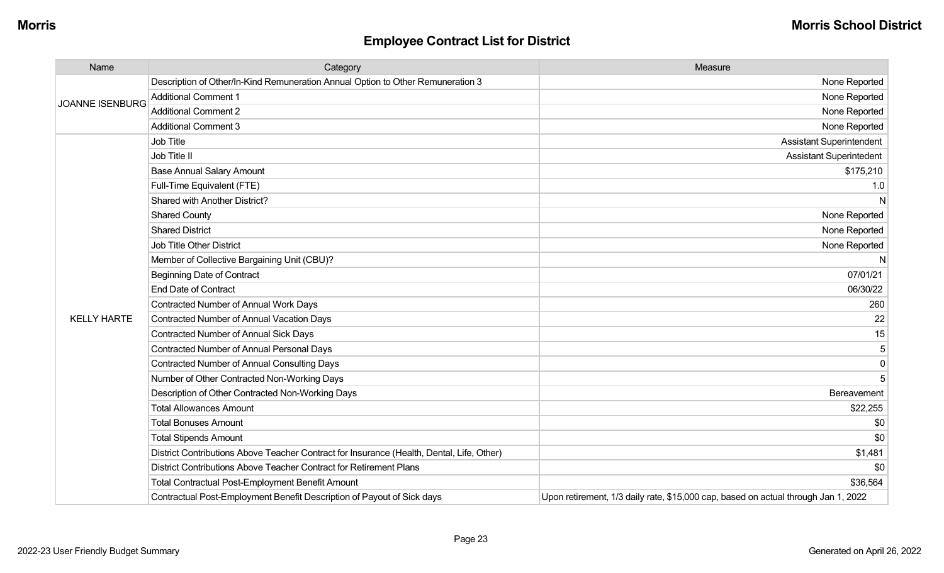| Name                   | Category                                                                                  | Measure                                                                            |
|------------------------|-------------------------------------------------------------------------------------------|------------------------------------------------------------------------------------|
| <b>JOANNE ISENBURG</b> | Description of Other/In-Kind Remuneration Annual Option to Other Remuneration 3           | None Reported                                                                      |
|                        | <b>Additional Comment 1</b>                                                               | None Reported                                                                      |
|                        | <b>Additional Comment 2</b>                                                               | None Reported                                                                      |
|                        | <b>Additional Comment 3</b>                                                               | None Reported                                                                      |
|                        | Job Title                                                                                 | <b>Assistant Superintendent</b>                                                    |
|                        | Job Title II                                                                              | <b>Assistant Superintedent</b>                                                     |
|                        | <b>Base Annual Salary Amount</b>                                                          | \$175,210                                                                          |
|                        | Full-Time Equivalent (FTE)                                                                | 1.0                                                                                |
|                        | Shared with Another District?                                                             | N.                                                                                 |
|                        | <b>Shared County</b>                                                                      | None Reported                                                                      |
|                        | <b>Shared District</b>                                                                    | None Reported                                                                      |
|                        | <b>Job Title Other District</b>                                                           | None Reported                                                                      |
|                        | Member of Collective Bargaining Unit (CBU)?                                               | N                                                                                  |
|                        | <b>Beginning Date of Contract</b>                                                         | 07/01/21                                                                           |
|                        | <b>End Date of Contract</b>                                                               | 06/30/22                                                                           |
|                        | Contracted Number of Annual Work Days                                                     | 260                                                                                |
| <b>KELLY HARTE</b>     | Contracted Number of Annual Vacation Days                                                 | 22                                                                                 |
|                        | <b>Contracted Number of Annual Sick Days</b>                                              | 15                                                                                 |
|                        | <b>Contracted Number of Annual Personal Days</b>                                          | 5                                                                                  |
|                        | <b>Contracted Number of Annual Consulting Days</b>                                        | 0                                                                                  |
|                        | Number of Other Contracted Non-Working Days                                               | 5                                                                                  |
|                        | Description of Other Contracted Non-Working Days                                          | Bereavement                                                                        |
|                        | <b>Total Allowances Amount</b>                                                            | \$22,255                                                                           |
|                        | <b>Total Bonuses Amount</b>                                                               | \$0                                                                                |
|                        | <b>Total Stipends Amount</b>                                                              | \$0                                                                                |
|                        | District Contributions Above Teacher Contract for Insurance (Health, Dental, Life, Other) | \$1,481                                                                            |
|                        | District Contributions Above Teacher Contract for Retirement Plans                        | \$0                                                                                |
|                        | <b>Total Contractual Post-Employment Benefit Amount</b>                                   | \$36,564                                                                           |
|                        | Contractual Post-Employment Benefit Description of Payout of Sick days                    | Upon retirement, 1/3 daily rate, \$15,000 cap, based on actual through Jan 1, 2022 |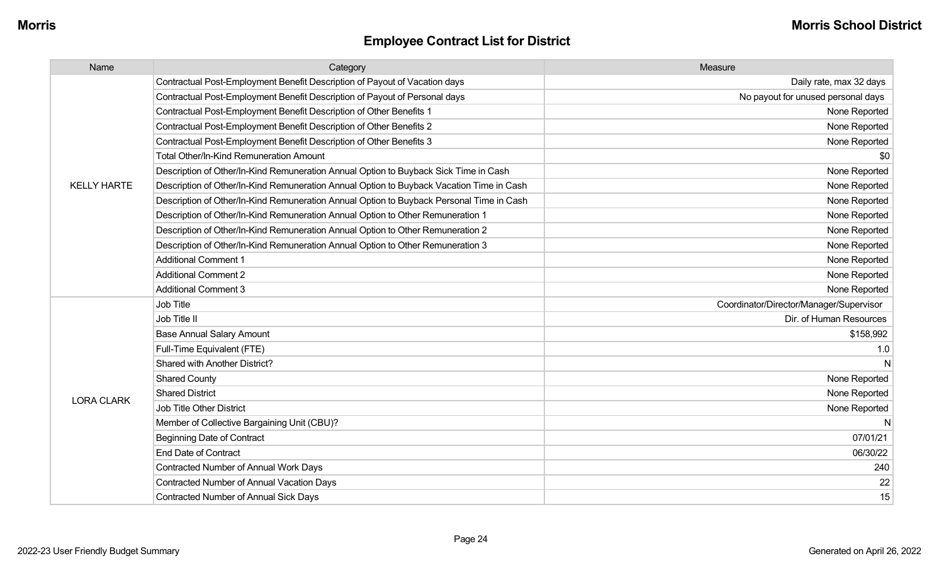| Name               | Category                                                                                 | Measure                                 |
|--------------------|------------------------------------------------------------------------------------------|-----------------------------------------|
|                    | Contractual Post-Employment Benefit Description of Payout of Vacation days               | Daily rate, max 32 days                 |
|                    | Contractual Post-Employment Benefit Description of Payout of Personal days               | No payout for unused personal days      |
|                    | Contractual Post-Employment Benefit Description of Other Benefits 1                      | None Reported                           |
|                    | Contractual Post-Employment Benefit Description of Other Benefits 2                      | None Reported                           |
|                    | Contractual Post-Employment Benefit Description of Other Benefits 3                      | None Reported                           |
|                    | <b>Total Other/In-Kind Remuneration Amount</b>                                           | \$0                                     |
|                    | Description of Other/In-Kind Remuneration Annual Option to Buyback Sick Time in Cash     | None Reported                           |
| <b>KELLY HARTE</b> | Description of Other/In-Kind Remuneration Annual Option to Buyback Vacation Time in Cash | None Reported                           |
|                    | Description of Other/In-Kind Remuneration Annual Option to Buyback Personal Time in Cash | None Reported                           |
|                    | Description of Other/In-Kind Remuneration Annual Option to Other Remuneration 1          | None Reported                           |
|                    | Description of Other/In-Kind Remuneration Annual Option to Other Remuneration 2          | None Reported                           |
|                    | Description of Other/In-Kind Remuneration Annual Option to Other Remuneration 3          | None Reported                           |
|                    | <b>Additional Comment 1</b>                                                              | None Reported                           |
|                    | <b>Additional Comment 2</b>                                                              | None Reported                           |
|                    | <b>Additional Comment 3</b>                                                              | None Reported                           |
|                    | Job Title                                                                                | Coordinator/Director/Manager/Supervisor |
|                    | Job Title II                                                                             | Dir. of Human Resources                 |
|                    | <b>Base Annual Salary Amount</b>                                                         | \$158,992                               |
|                    | Full-Time Equivalent (FTE)                                                               | 1.0                                     |
|                    | Shared with Another District?                                                            | N                                       |
|                    | <b>Shared County</b>                                                                     | None Reported                           |
|                    | <b>Shared District</b>                                                                   | None Reported                           |
| <b>LORA CLARK</b>  | <b>Job Title Other District</b>                                                          | None Reported                           |
|                    | Member of Collective Bargaining Unit (CBU)?                                              | N                                       |
|                    | <b>Beginning Date of Contract</b>                                                        | 07/01/21                                |
|                    | <b>End Date of Contract</b>                                                              | 06/30/22                                |
|                    | Contracted Number of Annual Work Days                                                    | 240                                     |
|                    | <b>Contracted Number of Annual Vacation Days</b>                                         | 22                                      |
|                    | Contracted Number of Annual Sick Days                                                    | 15                                      |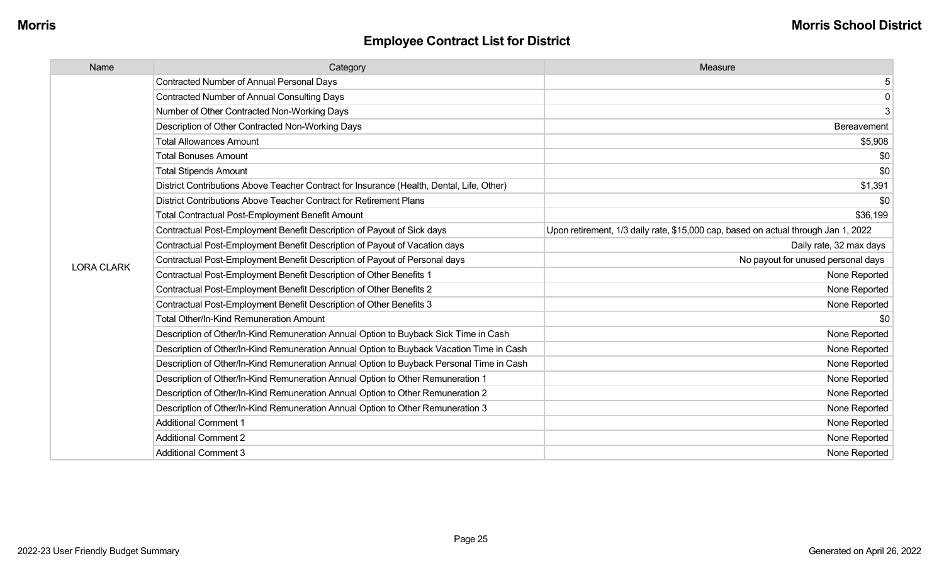| Name              | Category                                                                                  | Measure                                                                            |
|-------------------|-------------------------------------------------------------------------------------------|------------------------------------------------------------------------------------|
|                   | Contracted Number of Annual Personal Days                                                 |                                                                                    |
|                   | Contracted Number of Annual Consulting Days                                               | 0                                                                                  |
|                   | Number of Other Contracted Non-Working Days                                               | 3                                                                                  |
|                   | Description of Other Contracted Non-Working Days                                          | Bereavement                                                                        |
|                   | <b>Total Allowances Amount</b>                                                            | \$5,908                                                                            |
|                   | <b>Total Bonuses Amount</b>                                                               | \$0                                                                                |
|                   | <b>Total Stipends Amount</b>                                                              | \$0                                                                                |
|                   | District Contributions Above Teacher Contract for Insurance (Health, Dental, Life, Other) | \$1,391                                                                            |
|                   | District Contributions Above Teacher Contract for Retirement Plans                        | \$0                                                                                |
|                   | <b>Total Contractual Post-Employment Benefit Amount</b>                                   | \$36,199                                                                           |
|                   | Contractual Post-Employment Benefit Description of Payout of Sick days                    | Upon retirement, 1/3 daily rate, \$15,000 cap, based on actual through Jan 1, 2022 |
|                   | Contractual Post-Employment Benefit Description of Payout of Vacation days                | Daily rate, 32 max days                                                            |
| <b>LORA CLARK</b> | Contractual Post-Employment Benefit Description of Payout of Personal days                | No payout for unused personal days                                                 |
|                   | Contractual Post-Employment Benefit Description of Other Benefits 1                       | None Reported                                                                      |
|                   | Contractual Post-Employment Benefit Description of Other Benefits 2                       | None Reported                                                                      |
|                   | Contractual Post-Employment Benefit Description of Other Benefits 3                       | None Reported                                                                      |
|                   | Total Other/In-Kind Remuneration Amount                                                   | \$0                                                                                |
|                   | Description of Other/In-Kind Remuneration Annual Option to Buyback Sick Time in Cash      | None Reported                                                                      |
|                   | Description of Other/In-Kind Remuneration Annual Option to Buyback Vacation Time in Cash  | None Reported                                                                      |
|                   | Description of Other/In-Kind Remuneration Annual Option to Buyback Personal Time in Cash  | None Reported                                                                      |
|                   | Description of Other/In-Kind Remuneration Annual Option to Other Remuneration 1           | None Reported                                                                      |
|                   | Description of Other/In-Kind Remuneration Annual Option to Other Remuneration 2           | None Reported                                                                      |
|                   | Description of Other/In-Kind Remuneration Annual Option to Other Remuneration 3           | None Reported                                                                      |
|                   | <b>Additional Comment 1</b>                                                               | None Reported                                                                      |
|                   | <b>Additional Comment 2</b>                                                               | None Reported                                                                      |
|                   | <b>Additional Comment 3</b>                                                               | None Reported                                                                      |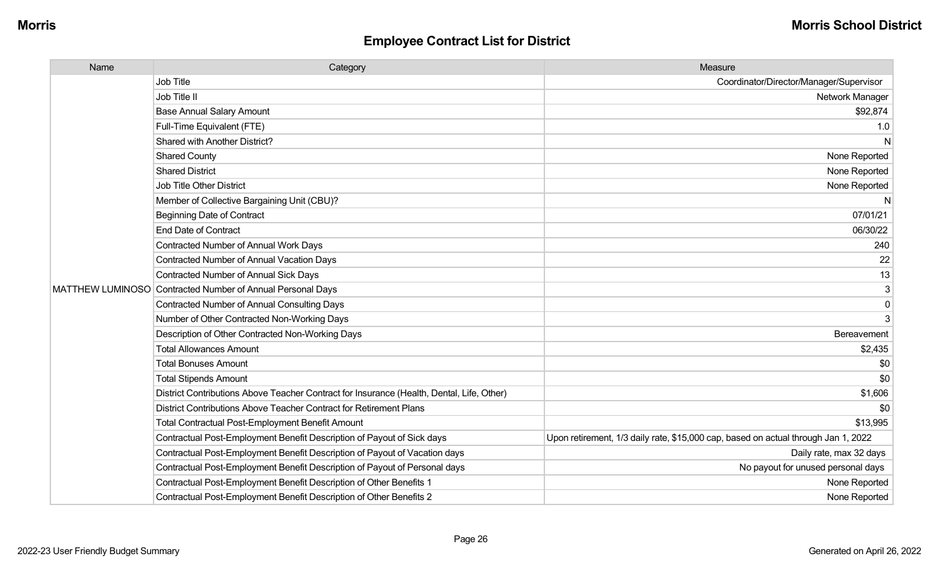| Name | Category                                                                                  | Measure                                                                            |
|------|-------------------------------------------------------------------------------------------|------------------------------------------------------------------------------------|
|      | Job Title                                                                                 | Coordinator/Director/Manager/Supervisor                                            |
|      | Job Title II                                                                              | Network Manager                                                                    |
|      | <b>Base Annual Salary Amount</b>                                                          | \$92,874                                                                           |
|      | Full-Time Equivalent (FTE)                                                                | 1.0                                                                                |
|      | Shared with Another District?                                                             | N                                                                                  |
|      | <b>Shared County</b>                                                                      | None Reported                                                                      |
|      | <b>Shared District</b>                                                                    | None Reported                                                                      |
|      | Job Title Other District                                                                  | None Reported                                                                      |
|      | Member of Collective Bargaining Unit (CBU)?                                               | N                                                                                  |
|      | <b>Beginning Date of Contract</b>                                                         | 07/01/21                                                                           |
|      | End Date of Contract                                                                      | 06/30/22                                                                           |
|      | <b>Contracted Number of Annual Work Days</b>                                              | 240                                                                                |
|      | <b>Contracted Number of Annual Vacation Days</b>                                          | 22                                                                                 |
|      | <b>Contracted Number of Annual Sick Days</b>                                              | 13                                                                                 |
|      | MATTHEW LUMINOSO Contracted Number of Annual Personal Days                                | $\mathbf{3}$                                                                       |
|      | <b>Contracted Number of Annual Consulting Days</b>                                        | $\mathbf 0$                                                                        |
|      | Number of Other Contracted Non-Working Days                                               | 3                                                                                  |
|      | Description of Other Contracted Non-Working Days                                          | Bereavement                                                                        |
|      | <b>Total Allowances Amount</b>                                                            | \$2,435                                                                            |
|      | <b>Total Bonuses Amount</b>                                                               | \$0                                                                                |
|      | <b>Total Stipends Amount</b>                                                              | \$0                                                                                |
|      | District Contributions Above Teacher Contract for Insurance (Health, Dental, Life, Other) | \$1,606                                                                            |
|      | District Contributions Above Teacher Contract for Retirement Plans                        | \$0                                                                                |
|      | Total Contractual Post-Employment Benefit Amount                                          | \$13,995                                                                           |
|      | Contractual Post-Employment Benefit Description of Payout of Sick days                    | Upon retirement, 1/3 daily rate, \$15,000 cap, based on actual through Jan 1, 2022 |
|      | Contractual Post-Employment Benefit Description of Payout of Vacation days                | Daily rate, max 32 days                                                            |
|      | Contractual Post-Employment Benefit Description of Payout of Personal days                | No payout for unused personal days                                                 |
|      | Contractual Post-Employment Benefit Description of Other Benefits 1                       | None Reported                                                                      |
|      | Contractual Post-Employment Benefit Description of Other Benefits 2                       | None Reported                                                                      |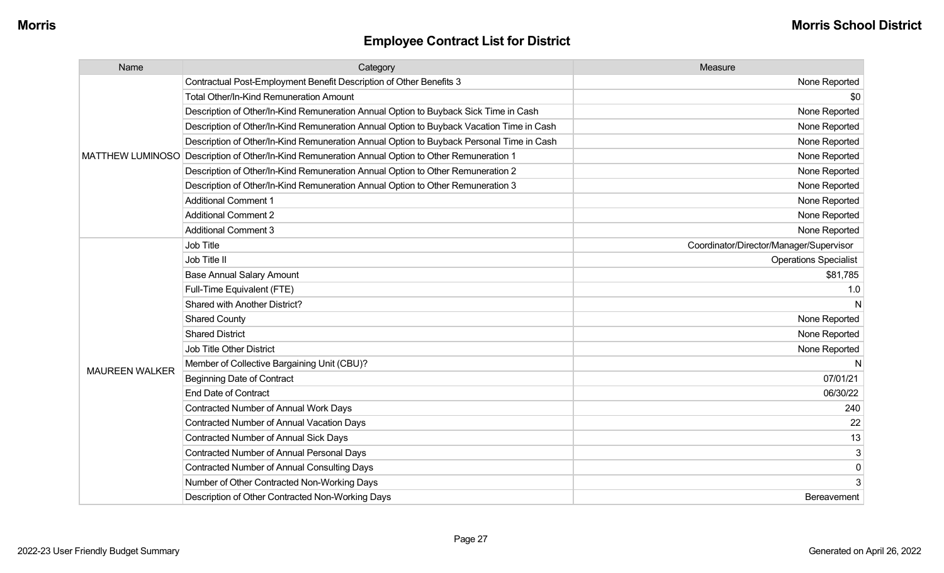| Name                  | Category                                                                                 | Measure                                 |
|-----------------------|------------------------------------------------------------------------------------------|-----------------------------------------|
|                       | Contractual Post-Employment Benefit Description of Other Benefits 3                      | None Reported                           |
|                       | <b>Total Other/In-Kind Remuneration Amount</b>                                           | \$0                                     |
|                       | Description of Other/In-Kind Remuneration Annual Option to Buyback Sick Time in Cash     | None Reported                           |
|                       | Description of Other/In-Kind Remuneration Annual Option to Buyback Vacation Time in Cash | None Reported                           |
|                       | Description of Other/In-Kind Remuneration Annual Option to Buyback Personal Time in Cash | None Reported                           |
| MATTHEW LUMINOSO      | Description of Other/In-Kind Remuneration Annual Option to Other Remuneration 1          | None Reported                           |
|                       | Description of Other/In-Kind Remuneration Annual Option to Other Remuneration 2          | None Reported                           |
|                       | Description of Other/In-Kind Remuneration Annual Option to Other Remuneration 3          | None Reported                           |
|                       | <b>Additional Comment 1</b>                                                              | None Reported                           |
|                       | <b>Additional Comment 2</b>                                                              | None Reported                           |
|                       | <b>Additional Comment 3</b>                                                              | None Reported                           |
|                       | Job Title                                                                                | Coordinator/Director/Manager/Supervisor |
|                       | Job Title II                                                                             | <b>Operations Specialist</b>            |
|                       | <b>Base Annual Salary Amount</b>                                                         | \$81,785                                |
|                       | Full-Time Equivalent (FTE)                                                               | 1.0                                     |
|                       | Shared with Another District?                                                            | N                                       |
|                       | <b>Shared County</b>                                                                     | None Reported                           |
|                       | <b>Shared District</b>                                                                   | None Reported                           |
|                       | <b>Job Title Other District</b>                                                          | None Reported                           |
|                       | Member of Collective Bargaining Unit (CBU)?                                              | N                                       |
| <b>MAUREEN WALKER</b> | <b>Beginning Date of Contract</b>                                                        | 07/01/21                                |
|                       | <b>End Date of Contract</b>                                                              | 06/30/22                                |
|                       | Contracted Number of Annual Work Days                                                    | 240                                     |
|                       | <b>Contracted Number of Annual Vacation Days</b>                                         | 22                                      |
|                       | <b>Contracted Number of Annual Sick Days</b>                                             | 13                                      |
|                       | <b>Contracted Number of Annual Personal Days</b>                                         | 3                                       |
|                       | <b>Contracted Number of Annual Consulting Days</b>                                       | 0                                       |
|                       | Number of Other Contracted Non-Working Days                                              | 3                                       |
|                       | Description of Other Contracted Non-Working Days                                         | Bereavement                             |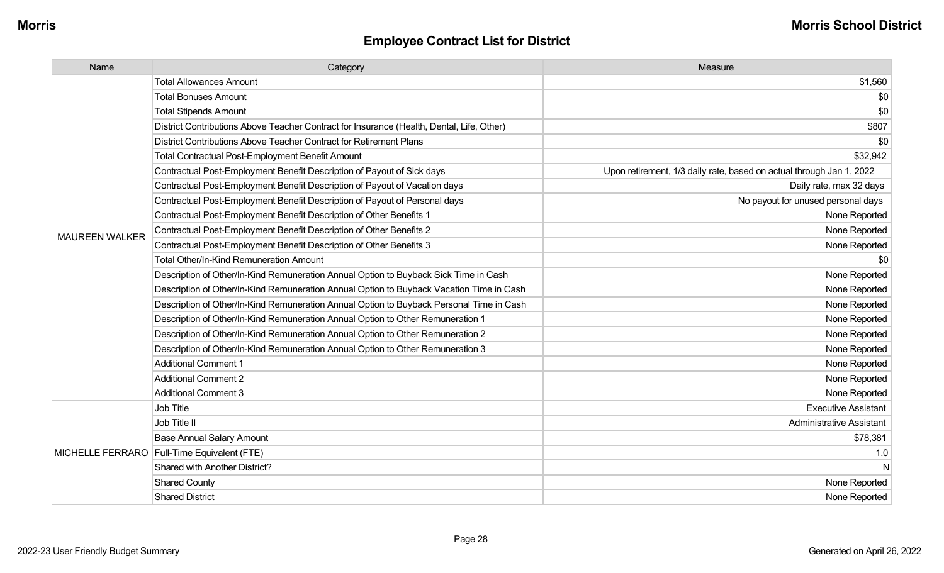| Name                  | Category                                                                                  | Measure                                                              |
|-----------------------|-------------------------------------------------------------------------------------------|----------------------------------------------------------------------|
|                       | <b>Total Allowances Amount</b>                                                            | \$1,560                                                              |
|                       | <b>Total Bonuses Amount</b>                                                               | \$0                                                                  |
|                       | <b>Total Stipends Amount</b>                                                              | \$0                                                                  |
|                       | District Contributions Above Teacher Contract for Insurance (Health, Dental, Life, Other) | \$807                                                                |
|                       | District Contributions Above Teacher Contract for Retirement Plans                        | \$0                                                                  |
|                       | <b>Total Contractual Post-Employment Benefit Amount</b>                                   | \$32,942                                                             |
|                       | Contractual Post-Employment Benefit Description of Payout of Sick days                    | Upon retirement, 1/3 daily rate, based on actual through Jan 1, 2022 |
|                       | Contractual Post-Employment Benefit Description of Payout of Vacation days                | Daily rate, max 32 days                                              |
|                       | Contractual Post-Employment Benefit Description of Payout of Personal days                | No payout for unused personal days                                   |
|                       | Contractual Post-Employment Benefit Description of Other Benefits 1                       | None Reported                                                        |
| <b>MAUREEN WALKER</b> | Contractual Post-Employment Benefit Description of Other Benefits 2                       | None Reported                                                        |
|                       | Contractual Post-Employment Benefit Description of Other Benefits 3                       | None Reported                                                        |
|                       | <b>Total Other/In-Kind Remuneration Amount</b>                                            | \$0                                                                  |
|                       | Description of Other/In-Kind Remuneration Annual Option to Buyback Sick Time in Cash      | None Reported                                                        |
|                       | Description of Other/In-Kind Remuneration Annual Option to Buyback Vacation Time in Cash  | None Reported                                                        |
|                       | Description of Other/In-Kind Remuneration Annual Option to Buyback Personal Time in Cash  | None Reported                                                        |
|                       | Description of Other/In-Kind Remuneration Annual Option to Other Remuneration 1           | None Reported                                                        |
|                       | Description of Other/In-Kind Remuneration Annual Option to Other Remuneration 2           | None Reported                                                        |
|                       | Description of Other/In-Kind Remuneration Annual Option to Other Remuneration 3           | None Reported                                                        |
|                       | <b>Additional Comment 1</b>                                                               | None Reported                                                        |
|                       | <b>Additional Comment 2</b>                                                               | None Reported                                                        |
|                       | <b>Additional Comment 3</b>                                                               | None Reported                                                        |
|                       | Job Title                                                                                 | <b>Executive Assistant</b>                                           |
|                       | Job Title II                                                                              | <b>Administrative Assistant</b>                                      |
|                       | <b>Base Annual Salary Amount</b>                                                          | \$78,381                                                             |
|                       | MICHELLE FERRARO   Full-Time Equivalent (FTE)                                             | 1.0                                                                  |
|                       | Shared with Another District?                                                             | N                                                                    |
|                       | <b>Shared County</b>                                                                      | None Reported                                                        |
|                       | <b>Shared District</b>                                                                    | None Reported                                                        |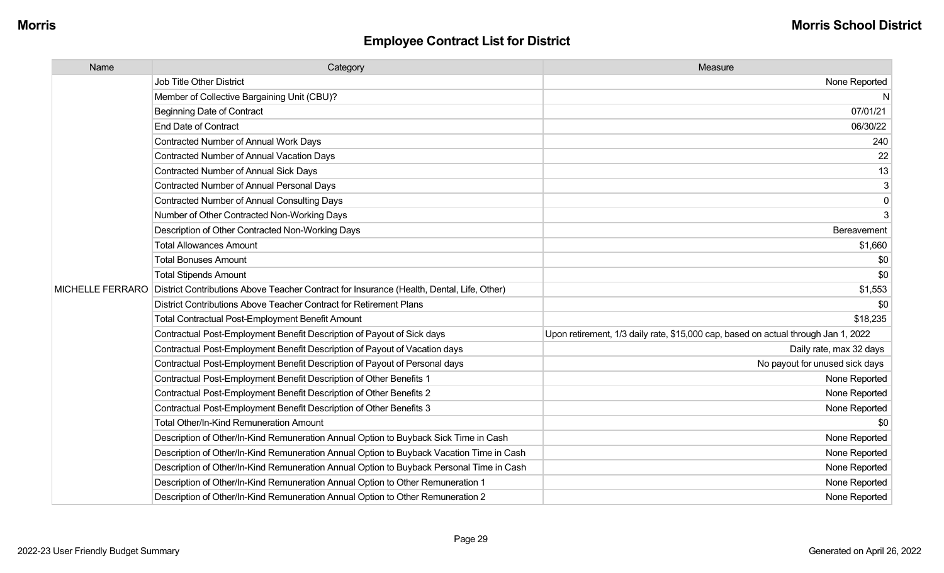| Name | Category                                                                                                   | Measure                                                                            |
|------|------------------------------------------------------------------------------------------------------------|------------------------------------------------------------------------------------|
|      | <b>Job Title Other District</b>                                                                            | None Reported                                                                      |
|      | Member of Collective Bargaining Unit (CBU)?                                                                | N                                                                                  |
|      | <b>Beginning Date of Contract</b>                                                                          | 07/01/21                                                                           |
|      | <b>End Date of Contract</b>                                                                                | 06/30/22                                                                           |
|      | <b>Contracted Number of Annual Work Days</b>                                                               | 240                                                                                |
|      | <b>Contracted Number of Annual Vacation Days</b>                                                           | 22                                                                                 |
|      | Contracted Number of Annual Sick Days                                                                      | 13                                                                                 |
|      | Contracted Number of Annual Personal Days                                                                  | 3                                                                                  |
|      | <b>Contracted Number of Annual Consulting Days</b>                                                         | $\boldsymbol{0}$                                                                   |
|      | Number of Other Contracted Non-Working Days                                                                | 3                                                                                  |
|      | Description of Other Contracted Non-Working Days                                                           | Bereavement                                                                        |
|      | <b>Total Allowances Amount</b>                                                                             | \$1,660                                                                            |
|      | <b>Total Bonuses Amount</b>                                                                                | \$0                                                                                |
|      | <b>Total Stipends Amount</b>                                                                               | \$0                                                                                |
|      | MICHELLE FERRARO District Contributions Above Teacher Contract for Insurance (Health, Dental, Life, Other) | \$1,553                                                                            |
|      | District Contributions Above Teacher Contract for Retirement Plans                                         | -\$0                                                                               |
|      | <b>Total Contractual Post-Employment Benefit Amount</b>                                                    | \$18,235                                                                           |
|      | Contractual Post-Employment Benefit Description of Payout of Sick days                                     | Upon retirement, 1/3 daily rate, \$15,000 cap, based on actual through Jan 1, 2022 |
|      | Contractual Post-Employment Benefit Description of Payout of Vacation days                                 | Daily rate, max 32 days                                                            |
|      | Contractual Post-Employment Benefit Description of Payout of Personal days                                 | No payout for unused sick days                                                     |
|      | Contractual Post-Employment Benefit Description of Other Benefits 1                                        | None Reported                                                                      |
|      | Contractual Post-Employment Benefit Description of Other Benefits 2                                        | None Reported                                                                      |
|      | Contractual Post-Employment Benefit Description of Other Benefits 3                                        | None Reported                                                                      |
|      | Total Other/In-Kind Remuneration Amount                                                                    | -30                                                                                |
|      | Description of Other/In-Kind Remuneration Annual Option to Buyback Sick Time in Cash                       | None Reported                                                                      |
|      | Description of Other/In-Kind Remuneration Annual Option to Buyback Vacation Time in Cash                   | None Reported                                                                      |
|      | Description of Other/In-Kind Remuneration Annual Option to Buyback Personal Time in Cash                   | None Reported                                                                      |
|      | Description of Other/In-Kind Remuneration Annual Option to Other Remuneration 1                            | None Reported                                                                      |
|      | Description of Other/In-Kind Remuneration Annual Option to Other Remuneration 2                            | None Reported                                                                      |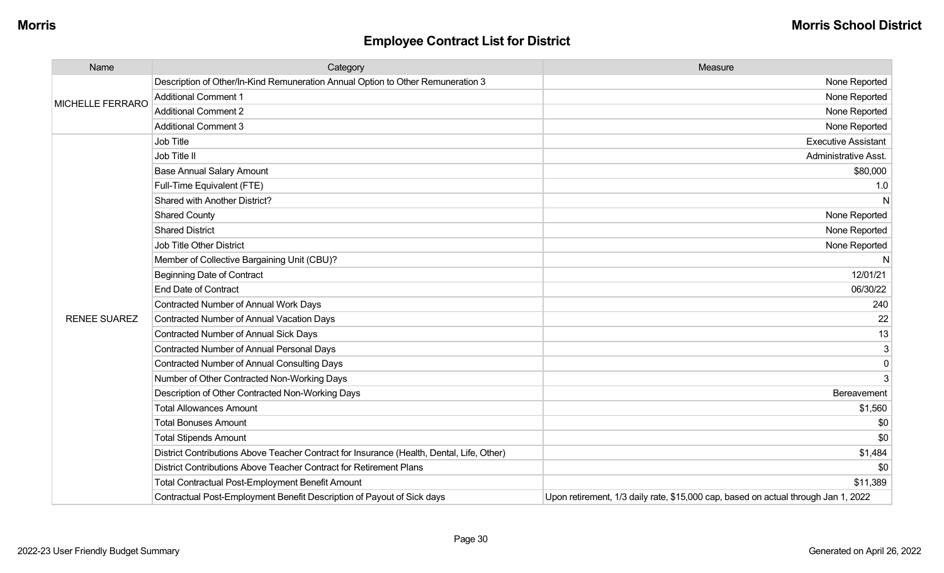| Name                    | Category                                                                                  | Measure                                                                            |
|-------------------------|-------------------------------------------------------------------------------------------|------------------------------------------------------------------------------------|
| <b>MICHELLE FERRARO</b> | Description of Other/In-Kind Remuneration Annual Option to Other Remuneration 3           | None Reported                                                                      |
|                         | <b>Additional Comment 1</b>                                                               | None Reported                                                                      |
|                         | <b>Additional Comment 2</b>                                                               | None Reported                                                                      |
|                         | <b>Additional Comment 3</b>                                                               | None Reported                                                                      |
|                         | Job Title                                                                                 | <b>Executive Assistant</b>                                                         |
|                         | Job Title II                                                                              | Administrative Asst.                                                               |
|                         | <b>Base Annual Salary Amount</b>                                                          | \$80,000                                                                           |
|                         | Full-Time Equivalent (FTE)                                                                | 1.0                                                                                |
|                         | Shared with Another District?                                                             | N                                                                                  |
|                         | <b>Shared County</b>                                                                      | None Reported                                                                      |
|                         | <b>Shared District</b>                                                                    | None Reported                                                                      |
|                         | <b>Job Title Other District</b>                                                           | None Reported                                                                      |
|                         | Member of Collective Bargaining Unit (CBU)?                                               | N                                                                                  |
|                         | <b>Beginning Date of Contract</b>                                                         | 12/01/21                                                                           |
|                         | <b>End Date of Contract</b>                                                               | 06/30/22                                                                           |
|                         | Contracted Number of Annual Work Days                                                     | 240                                                                                |
| <b>RENEE SUAREZ</b>     | <b>Contracted Number of Annual Vacation Days</b>                                          | 22                                                                                 |
|                         | Contracted Number of Annual Sick Days                                                     | 13                                                                                 |
|                         | Contracted Number of Annual Personal Days                                                 | $\mathbf{3}$                                                                       |
|                         | <b>Contracted Number of Annual Consulting Days</b>                                        | $\mathbf 0$                                                                        |
|                         | Number of Other Contracted Non-Working Days                                               | 3                                                                                  |
|                         | Description of Other Contracted Non-Working Days                                          | Bereavement                                                                        |
|                         | <b>Total Allowances Amount</b>                                                            | \$1,560                                                                            |
|                         | <b>Total Bonuses Amount</b>                                                               | \$0                                                                                |
|                         | <b>Total Stipends Amount</b>                                                              | \$0                                                                                |
|                         | District Contributions Above Teacher Contract for Insurance (Health, Dental, Life, Other) | \$1,484                                                                            |
|                         | District Contributions Above Teacher Contract for Retirement Plans                        | \$0                                                                                |
|                         | <b>Total Contractual Post-Employment Benefit Amount</b>                                   | \$11,389                                                                           |
|                         | Contractual Post-Employment Benefit Description of Payout of Sick days                    | Upon retirement, 1/3 daily rate, \$15,000 cap, based on actual through Jan 1, 2022 |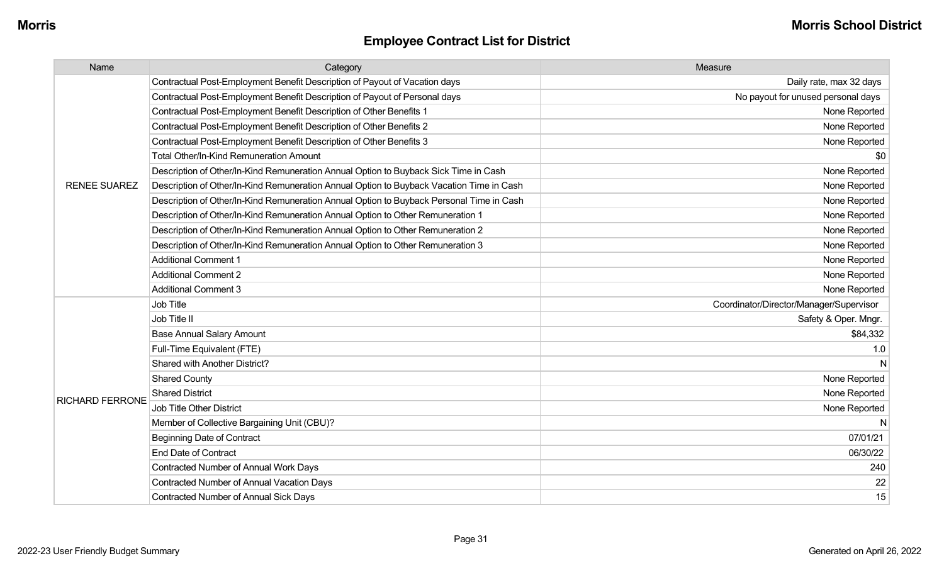| Name                   | Category                                                                                 | Measure                                 |
|------------------------|------------------------------------------------------------------------------------------|-----------------------------------------|
|                        | Contractual Post-Employment Benefit Description of Payout of Vacation days               | Daily rate, max 32 days                 |
|                        | Contractual Post-Employment Benefit Description of Payout of Personal days               | No payout for unused personal days      |
|                        | Contractual Post-Employment Benefit Description of Other Benefits 1                      | None Reported                           |
|                        | Contractual Post-Employment Benefit Description of Other Benefits 2                      | None Reported                           |
|                        | Contractual Post-Employment Benefit Description of Other Benefits 3                      | None Reported                           |
|                        | Total Other/In-Kind Remuneration Amount                                                  | \$0                                     |
|                        | Description of Other/In-Kind Remuneration Annual Option to Buyback Sick Time in Cash     | None Reported                           |
| <b>RENEE SUAREZ</b>    | Description of Other/In-Kind Remuneration Annual Option to Buyback Vacation Time in Cash | None Reported                           |
|                        | Description of Other/In-Kind Remuneration Annual Option to Buyback Personal Time in Cash | None Reported                           |
|                        | Description of Other/In-Kind Remuneration Annual Option to Other Remuneration 1          | None Reported                           |
|                        | Description of Other/In-Kind Remuneration Annual Option to Other Remuneration 2          | None Reported                           |
|                        | Description of Other/In-Kind Remuneration Annual Option to Other Remuneration 3          | None Reported                           |
|                        | <b>Additional Comment 1</b>                                                              | None Reported                           |
|                        | <b>Additional Comment 2</b>                                                              | None Reported                           |
|                        | <b>Additional Comment 3</b>                                                              | None Reported                           |
|                        | Job Title                                                                                | Coordinator/Director/Manager/Supervisor |
|                        | Job Title II                                                                             | Safety & Oper. Mngr.                    |
|                        | <b>Base Annual Salary Amount</b>                                                         | \$84,332                                |
|                        | Full-Time Equivalent (FTE)                                                               | 1.0                                     |
|                        | Shared with Another District?                                                            |                                         |
|                        | <b>Shared County</b>                                                                     | None Reported                           |
| <b>RICHARD FERRONE</b> | <b>Shared District</b>                                                                   | None Reported                           |
|                        | <b>Job Title Other District</b>                                                          | None Reported                           |
|                        | Member of Collective Bargaining Unit (CBU)?                                              |                                         |
|                        | <b>Beginning Date of Contract</b>                                                        | 07/01/21                                |
|                        | <b>End Date of Contract</b>                                                              | 06/30/22                                |
|                        | Contracted Number of Annual Work Days                                                    | 240                                     |
|                        | <b>Contracted Number of Annual Vacation Days</b>                                         | 22                                      |
|                        | <b>Contracted Number of Annual Sick Days</b>                                             | 15                                      |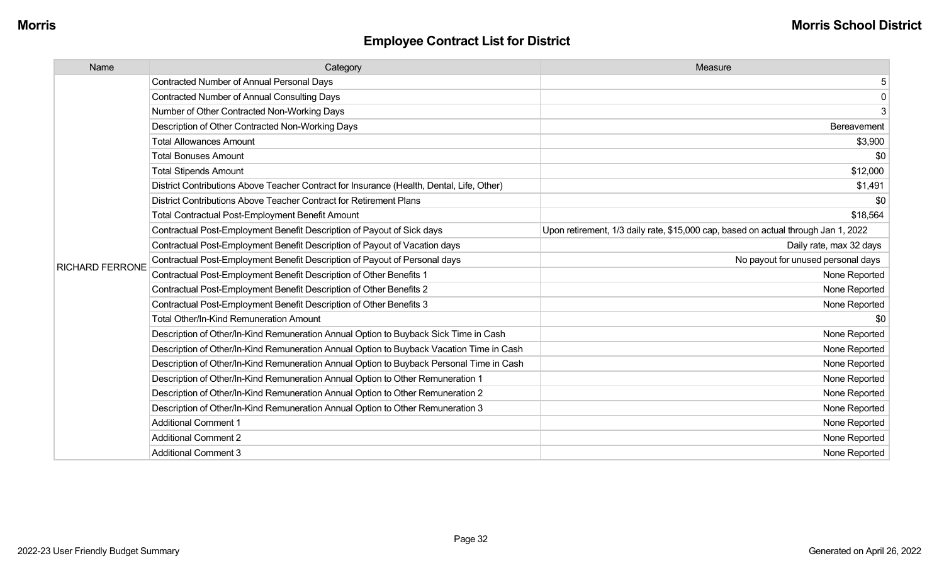| Name                   | Category                                                                                  | Measure                                                                            |
|------------------------|-------------------------------------------------------------------------------------------|------------------------------------------------------------------------------------|
|                        | <b>Contracted Number of Annual Personal Days</b>                                          |                                                                                    |
|                        | <b>Contracted Number of Annual Consulting Days</b>                                        | $\Omega$                                                                           |
|                        | Number of Other Contracted Non-Working Days                                               | 3                                                                                  |
|                        | Description of Other Contracted Non-Working Days                                          | Bereavement                                                                        |
|                        | <b>Total Allowances Amount</b>                                                            | \$3,900                                                                            |
|                        | <b>Total Bonuses Amount</b>                                                               | \$0                                                                                |
|                        | <b>Total Stipends Amount</b>                                                              | \$12,000                                                                           |
|                        | District Contributions Above Teacher Contract for Insurance (Health, Dental, Life, Other) | \$1,491                                                                            |
|                        | District Contributions Above Teacher Contract for Retirement Plans                        | \$0                                                                                |
|                        | Total Contractual Post-Employment Benefit Amount                                          | \$18,564                                                                           |
|                        | Contractual Post-Employment Benefit Description of Payout of Sick days                    | Upon retirement, 1/3 daily rate, \$15,000 cap, based on actual through Jan 1, 2022 |
|                        | Contractual Post-Employment Benefit Description of Payout of Vacation days                | Daily rate, max 32 days                                                            |
| <b>RICHARD FERRONE</b> | Contractual Post-Employment Benefit Description of Payout of Personal days                | No payout for unused personal days                                                 |
|                        | Contractual Post-Employment Benefit Description of Other Benefits 1                       | None Reported                                                                      |
|                        | Contractual Post-Employment Benefit Description of Other Benefits 2                       | None Reported                                                                      |
|                        | Contractual Post-Employment Benefit Description of Other Benefits 3                       | None Reported                                                                      |
|                        | Total Other/In-Kind Remuneration Amount                                                   | \$0                                                                                |
|                        | Description of Other/In-Kind Remuneration Annual Option to Buyback Sick Time in Cash      | None Reported                                                                      |
|                        | Description of Other/In-Kind Remuneration Annual Option to Buyback Vacation Time in Cash  | None Reported                                                                      |
|                        | Description of Other/In-Kind Remuneration Annual Option to Buyback Personal Time in Cash  | None Reported                                                                      |
|                        | Description of Other/In-Kind Remuneration Annual Option to Other Remuneration 1           | None Reported                                                                      |
|                        | Description of Other/In-Kind Remuneration Annual Option to Other Remuneration 2           | None Reported                                                                      |
|                        | Description of Other/In-Kind Remuneration Annual Option to Other Remuneration 3           | None Reported                                                                      |
|                        | <b>Additional Comment 1</b>                                                               | None Reported                                                                      |
|                        | <b>Additional Comment 2</b>                                                               | None Reported                                                                      |
|                        | <b>Additional Comment 3</b>                                                               | None Reported                                                                      |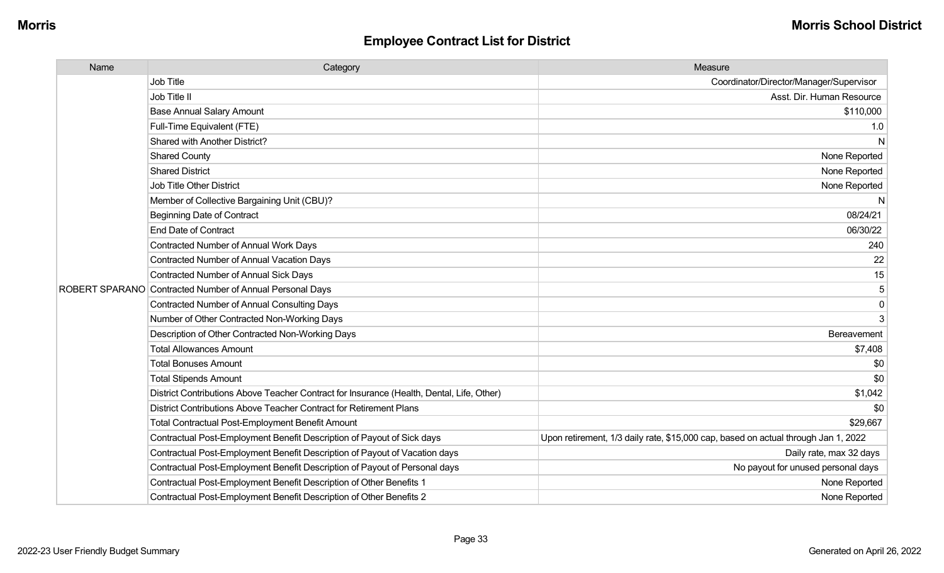| Name | Category                                                                                  | Measure                                                                            |
|------|-------------------------------------------------------------------------------------------|------------------------------------------------------------------------------------|
|      | <b>Job Title</b>                                                                          | Coordinator/Director/Manager/Supervisor                                            |
|      | Job Title II                                                                              | Asst. Dir. Human Resource                                                          |
|      | <b>Base Annual Salary Amount</b>                                                          | \$110,000                                                                          |
|      | Full-Time Equivalent (FTE)                                                                | 1.0                                                                                |
|      | Shared with Another District?                                                             | N                                                                                  |
|      | <b>Shared County</b>                                                                      | None Reported                                                                      |
|      | <b>Shared District</b>                                                                    | None Reported                                                                      |
|      | <b>Job Title Other District</b>                                                           | None Reported                                                                      |
|      | Member of Collective Bargaining Unit (CBU)?                                               | N                                                                                  |
|      | <b>Beginning Date of Contract</b>                                                         | 08/24/21                                                                           |
|      | <b>End Date of Contract</b>                                                               | 06/30/22                                                                           |
|      | <b>Contracted Number of Annual Work Days</b>                                              | 240                                                                                |
|      | <b>Contracted Number of Annual Vacation Days</b>                                          | 22                                                                                 |
|      | Contracted Number of Annual Sick Days                                                     | 15                                                                                 |
|      | ROBERT SPARANO Contracted Number of Annual Personal Days                                  | $\sqrt{5}$                                                                         |
|      | <b>Contracted Number of Annual Consulting Days</b>                                        | $\mathbf 0$                                                                        |
|      | Number of Other Contracted Non-Working Days                                               | 3                                                                                  |
|      | Description of Other Contracted Non-Working Days                                          | Bereavement                                                                        |
|      | <b>Total Allowances Amount</b>                                                            | \$7,408                                                                            |
|      | <b>Total Bonuses Amount</b>                                                               | \$0                                                                                |
|      | <b>Total Stipends Amount</b>                                                              | \$0                                                                                |
|      | District Contributions Above Teacher Contract for Insurance (Health, Dental, Life, Other) | \$1,042                                                                            |
|      | District Contributions Above Teacher Contract for Retirement Plans                        | \$0                                                                                |
|      | <b>Total Contractual Post-Employment Benefit Amount</b>                                   | \$29,667                                                                           |
|      | Contractual Post-Employment Benefit Description of Payout of Sick days                    | Upon retirement, 1/3 daily rate, \$15,000 cap, based on actual through Jan 1, 2022 |
|      | Contractual Post-Employment Benefit Description of Payout of Vacation days                | Daily rate, max 32 days                                                            |
|      | Contractual Post-Employment Benefit Description of Payout of Personal days                | No payout for unused personal days                                                 |
|      | Contractual Post-Employment Benefit Description of Other Benefits 1                       | None Reported                                                                      |
|      | Contractual Post-Employment Benefit Description of Other Benefits 2                       | None Reported                                                                      |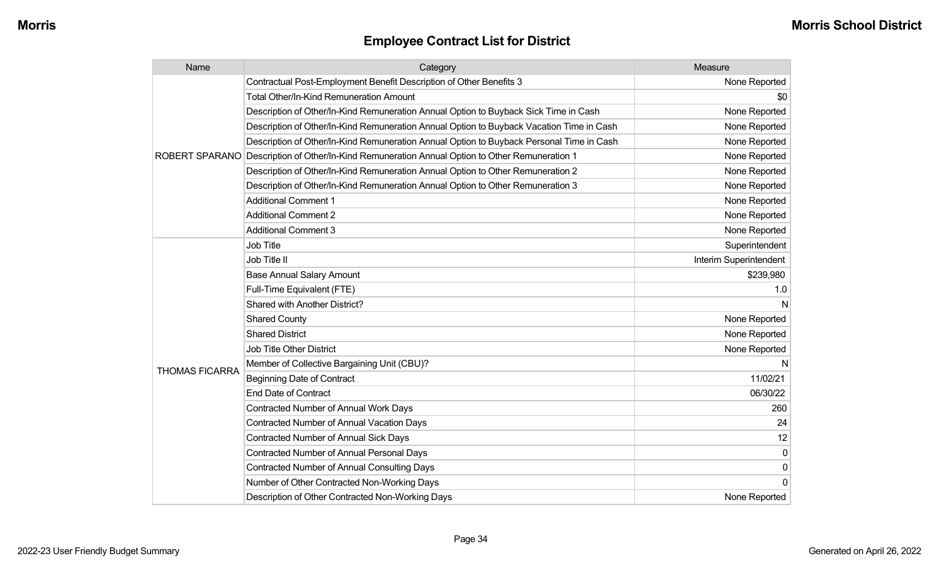| Name                  | Category                                                                                 | Measure                |
|-----------------------|------------------------------------------------------------------------------------------|------------------------|
|                       | Contractual Post-Employment Benefit Description of Other Benefits 3                      | None Reported          |
|                       | <b>Total Other/In-Kind Remuneration Amount</b>                                           | \$0                    |
|                       | Description of Other/In-Kind Remuneration Annual Option to Buyback Sick Time in Cash     | None Reported          |
|                       | Description of Other/In-Kind Remuneration Annual Option to Buyback Vacation Time in Cash | None Reported          |
|                       | Description of Other/In-Kind Remuneration Annual Option to Buyback Personal Time in Cash | None Reported          |
| ROBERT SPARANO        | Description of Other/In-Kind Remuneration Annual Option to Other Remuneration 1          | None Reported          |
|                       | Description of Other/In-Kind Remuneration Annual Option to Other Remuneration 2          | None Reported          |
|                       | Description of Other/In-Kind Remuneration Annual Option to Other Remuneration 3          | None Reported          |
|                       | <b>Additional Comment 1</b>                                                              | None Reported          |
|                       | <b>Additional Comment 2</b>                                                              | None Reported          |
|                       | <b>Additional Comment 3</b>                                                              | None Reported          |
|                       | Job Title                                                                                | Superintendent         |
|                       | Job Title II                                                                             | Interim Superintendent |
|                       | <b>Base Annual Salary Amount</b>                                                         | \$239,980              |
|                       | Full-Time Equivalent (FTE)                                                               | 1.0                    |
|                       | Shared with Another District?                                                            | N                      |
|                       | <b>Shared County</b>                                                                     | None Reported          |
|                       | <b>Shared District</b>                                                                   | None Reported          |
|                       | Job Title Other District                                                                 | None Reported          |
| <b>THOMAS FICARRA</b> | Member of Collective Bargaining Unit (CBU)?                                              | N                      |
|                       | <b>Beginning Date of Contract</b>                                                        | 11/02/21               |
|                       | <b>End Date of Contract</b>                                                              | 06/30/22               |
|                       | Contracted Number of Annual Work Days                                                    | 260                    |
|                       | Contracted Number of Annual Vacation Days                                                | 24                     |
|                       | Contracted Number of Annual Sick Days                                                    | 12                     |
|                       | Contracted Number of Annual Personal Days                                                | 0                      |
|                       | <b>Contracted Number of Annual Consulting Days</b>                                       | 0                      |
|                       | Number of Other Contracted Non-Working Days                                              | $\Omega$               |
|                       | Description of Other Contracted Non-Working Days                                         | None Reported          |